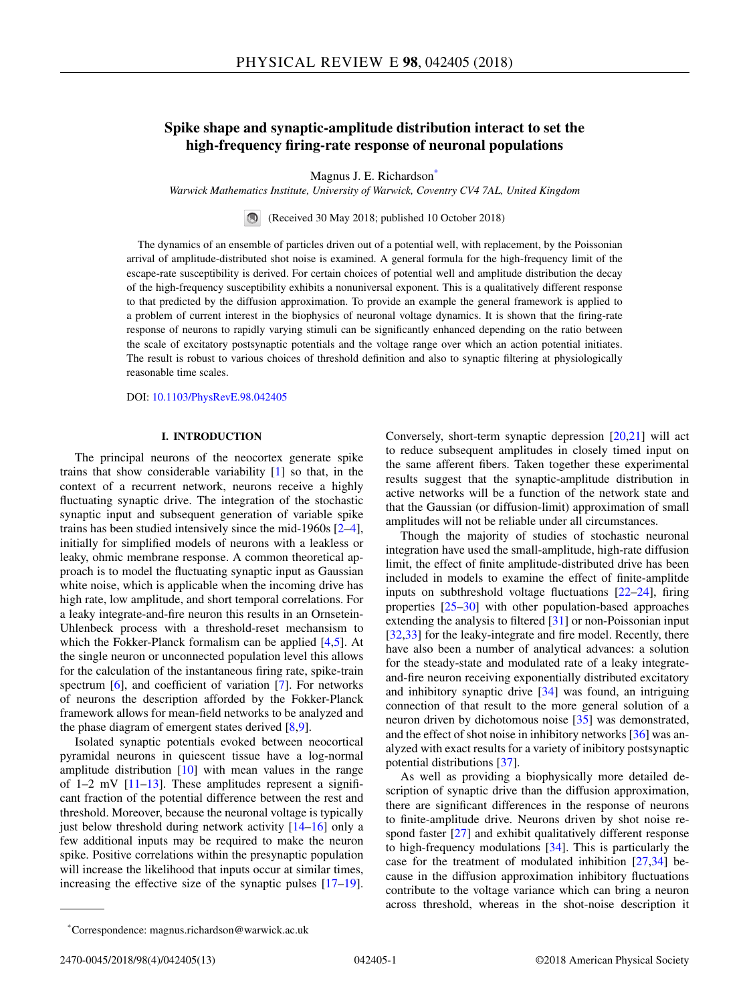# **Spike shape and synaptic-amplitude distribution interact to set the high-frequency firing-rate response of neuronal populations**

Magnus J. E. Richardson<sup>\*</sup>

*Warwick Mathematics Institute, University of Warwick, Coventry CV4 7AL, United Kingdom*

(Received 30 May 2018; published 10 October 2018)

The dynamics of an ensemble of particles driven out of a potential well, with replacement, by the Poissonian arrival of amplitude-distributed shot noise is examined. A general formula for the high-frequency limit of the escape-rate susceptibility is derived. For certain choices of potential well and amplitude distribution the decay of the high-frequency susceptibility exhibits a nonuniversal exponent. This is a qualitatively different response to that predicted by the diffusion approximation. To provide an example the general framework is applied to a problem of current interest in the biophysics of neuronal voltage dynamics. It is shown that the firing-rate response of neurons to rapidly varying stimuli can be significantly enhanced depending on the ratio between the scale of excitatory postsynaptic potentials and the voltage range over which an action potential initiates. The result is robust to various choices of threshold definition and also to synaptic filtering at physiologically reasonable time scales.

DOI: [10.1103/PhysRevE.98.042405](https://doi.org/10.1103/PhysRevE.98.042405)

### **I. INTRODUCTION**

The principal neurons of the neocortex generate spike trains that show considerable variability [\[1\]](#page-11-0) so that, in the context of a recurrent network, neurons receive a highly fluctuating synaptic drive. The integration of the stochastic synaptic input and subsequent generation of variable spike trains has been studied intensively since the mid-1960s [\[2–4\]](#page-11-0), initially for simplified models of neurons with a leakless or leaky, ohmic membrane response. A common theoretical approach is to model the fluctuating synaptic input as Gaussian white noise, which is applicable when the incoming drive has high rate, low amplitude, and short temporal correlations. For a leaky integrate-and-fire neuron this results in an Ornsetein-Uhlenbeck process with a threshold-reset mechansism to which the Fokker-Planck formalism can be applied [\[4,5\]](#page-11-0). At the single neuron or unconnected population level this allows for the calculation of the instantaneous firing rate, spike-train spectrum [\[6\]](#page-11-0), and coefficient of variation [\[7\]](#page-11-0). For networks of neurons the description afforded by the Fokker-Planck framework allows for mean-field networks to be analyzed and the phase diagram of emergent states derived  $[8,9]$ .

Isolated synaptic potentials evoked between neocortical pyramidal neurons in quiescent tissue have a log-normal amplitude distribution [\[10\]](#page-11-0) with mean values in the range of  $1-2$  mV  $[11-13]$ . These amplitudes represent a significant fraction of the potential difference between the rest and threshold. Moreover, because the neuronal voltage is typically just below threshold during network activity  $[14-16]$  only a few additional inputs may be required to make the neuron spike. Positive correlations within the presynaptic population will increase the likelihood that inputs occur at similar times, increasing the effective size of the synaptic pulses [\[17–19\]](#page-11-0).

Conversely, short-term synaptic depression [\[20,21\]](#page-11-0) will act to reduce subsequent amplitudes in closely timed input on the same afferent fibers. Taken together these experimental results suggest that the synaptic-amplitude distribution in active networks will be a function of the network state and that the Gaussian (or diffusion-limit) approximation of small amplitudes will not be reliable under all circumstances.

Though the majority of studies of stochastic neuronal integration have used the small-amplitude, high-rate diffusion limit, the effect of finite amplitude-distributed drive has been included in models to examine the effect of finite-amplitde inputs on subthreshold voltage fluctuations [\[22–24\]](#page-11-0), firing properties [\[25–30\]](#page-11-0) with other population-based approaches extending the analysis to filtered [\[31\]](#page-11-0) or non-Poissonian input [\[32,33\]](#page-11-0) for the leaky-integrate and fire model. Recently, there have also been a number of analytical advances: a solution for the steady-state and modulated rate of a leaky integrateand-fire neuron receiving exponentially distributed excitatory and inhibitory synaptic drive [\[34\]](#page-11-0) was found, an intriguing connection of that result to the more general solution of a neuron driven by dichotomous noise [\[35\]](#page-11-0) was demonstrated, and the effect of shot noise in inhibitory networks [\[36\]](#page-11-0) was analyzed with exact results for a variety of inibitory postsynaptic potential distributions [\[37\]](#page-11-0).

As well as providing a biophysically more detailed description of synaptic drive than the diffusion approximation, there are significant differences in the response of neurons to finite-amplitude drive. Neurons driven by shot noise respond faster [\[27\]](#page-11-0) and exhibit qualitatively different response to high-frequency modulations [\[34\]](#page-11-0). This is particularly the case for the treatment of modulated inhibition [\[27,34\]](#page-11-0) because in the diffusion approximation inhibitory fluctuations contribute to the voltage variance which can bring a neuron across threshold, whereas in the shot-noise description it

<sup>\*</sup>Correspondence: magnus.richardson@warwick.ac.uk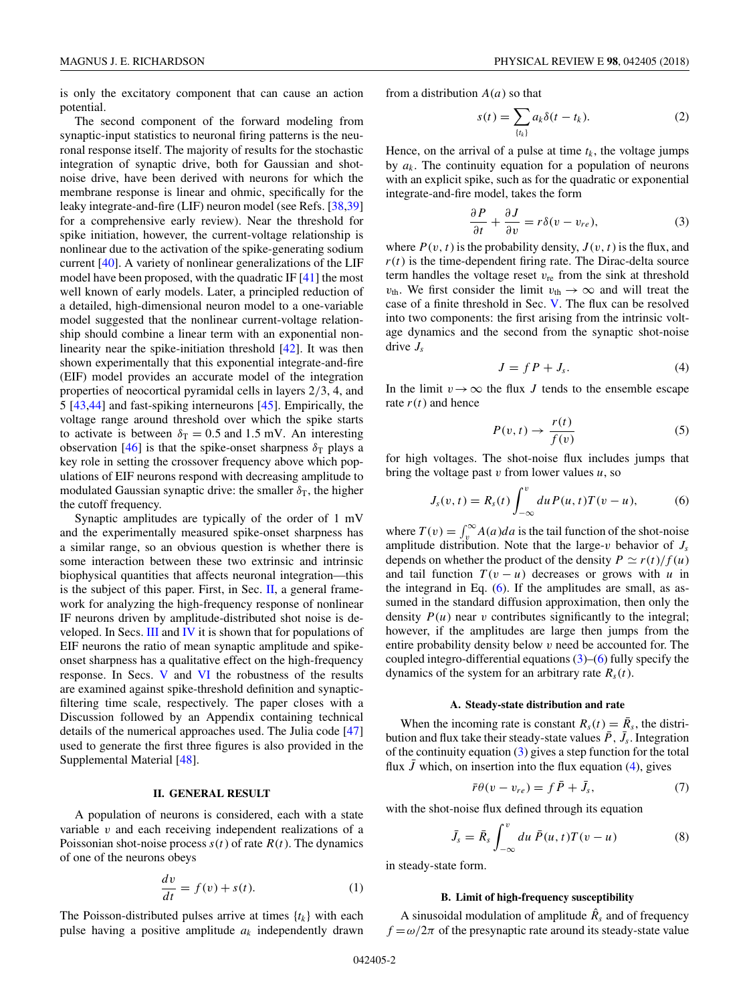<span id="page-1-0"></span>is only the excitatory component that can cause an action potential.

The second component of the forward modeling from synaptic-input statistics to neuronal firing patterns is the neuronal response itself. The majority of results for the stochastic integration of synaptic drive, both for Gaussian and shotnoise drive, have been derived with neurons for which the membrane response is linear and ohmic, specifically for the leaky integrate-and-fire (LIF) neuron model (see Refs. [\[38,39\]](#page-11-0) for a comprehensive early review). Near the threshold for spike initiation, however, the current-voltage relationship is nonlinear due to the activation of the spike-generating sodium current [\[40\]](#page-11-0). A variety of nonlinear generalizations of the LIF model have been proposed, with the quadratic IF [\[41\]](#page-11-0) the most well known of early models. Later, a principled reduction of a detailed, high-dimensional neuron model to a one-variable model suggested that the nonlinear current-voltage relationship should combine a linear term with an exponential nonlinearity near the spike-initiation threshold [\[42\]](#page-11-0). It was then shown experimentally that this exponential integrate-and-fire (EIF) model provides an accurate model of the integration properties of neocortical pyramidal cells in layers 2*/*3, 4, and 5 [\[43,44\]](#page-11-0) and fast-spiking interneurons [\[45\]](#page-11-0). Empirically, the voltage range around threshold over which the spike starts to activate is between  $\delta_{\rm T} = 0.5$  and 1.5 mV. An interesting observation  $[46]$  is that the spike-onset sharpness  $\delta_T$  plays a key role in setting the crossover frequency above which populations of EIF neurons respond with decreasing amplitude to modulated Gaussian synaptic drive: the smaller  $\delta_T$ , the higher the cutoff frequency.

Synaptic amplitudes are typically of the order of 1 mV and the experimentally measured spike-onset sharpness has a similar range, so an obvious question is whether there is some interaction between these two extrinsic and intrinsic biophysical quantities that affects neuronal integration—this is the subject of this paper. First, in Sec.  $II$ , a general framework for analyzing the high-frequency response of nonlinear IF neurons driven by amplitude-distributed shot noise is developed. In Secs. [III](#page-2-0) and [IV](#page-4-0) it is shown that for populations of EIF neurons the ratio of mean synaptic amplitude and spikeonset sharpness has a qualitative effect on the high-frequency response. In Secs. [V](#page-6-0) and [VI](#page-7-0) the robustness of the results are examined against spike-threshold definition and synapticfiltering time scale, respectively. The paper closes with a Discussion followed by an Appendix containing technical details of the numerical approaches used. The Julia code [\[47\]](#page-11-0) used to generate the first three figures is also provided in the Supplemental Material [\[48\]](#page-11-0).

# **II. GENERAL RESULT**

A population of neurons is considered, each with a state variable *v* and each receiving independent realizations of a Poissonian shot-noise process  $s(t)$  of rate  $R(t)$ . The dynamics of one of the neurons obeys

$$
\frac{dv}{dt} = f(v) + s(t). \tag{1}
$$

The Poisson-distributed pulses arrive at times  $\{t_k\}$  with each pulse having a positive amplitude *ak* independently drawn

from a distribution *A*(*a*) so that

$$
s(t) = \sum_{\{t_k\}} a_k \delta(t - t_k). \tag{2}
$$

Hence, on the arrival of a pulse at time  $t_k$ , the voltage jumps by  $a_k$ . The continuity equation for a population of neurons with an explicit spike, such as for the quadratic or exponential integrate-and-fire model, takes the form

$$
\frac{\partial P}{\partial t} + \frac{\partial J}{\partial v} = r\delta(v - v_{re}),\tag{3}
$$

where  $P(v, t)$  is the probability density,  $J(v, t)$  is the flux, and  $r(t)$  is the time-dependent firing rate. The Dirac-delta source term handles the voltage reset  $v_{\text{re}}$  from the sink at threshold *v*<sub>th</sub>. We first consider the limit  $v_{\text{th}} \rightarrow \infty$  and will treat the case of a finite threshold in Sec. [V.](#page-6-0) The flux can be resolved into two components: the first arising from the intrinsic voltage dynamics and the second from the synaptic shot-noise drive *Js*

$$
J = f P + J_s. \tag{4}
$$

In the limit  $v \rightarrow \infty$  the flux *J* tends to the ensemble escape rate  $r(t)$  and hence

$$
P(v, t) \to \frac{r(t)}{f(v)}\tag{5}
$$

for high voltages. The shot-noise flux includes jumps that bring the voltage past *v* from lower values *u*, so

$$
J_s(v,t) = R_s(t) \int_{-\infty}^v du P(u,t) T(v-u), \tag{6}
$$

where  $T(v) = \int_v^{\infty} A(a)da$  is the tail function of the shot-noise amplitude distribution. Note that the large- $v$  behavior of  $J_s$ depends on whether the product of the density  $P \simeq r(t)/f(u)$ and tail function  $T(v - u)$  decreases or grows with *u* in the integrand in Eq.  $(6)$ . If the amplitudes are small, as assumed in the standard diffusion approximation, then only the density  $P(u)$  near *v* contributes significantly to the integral; however, if the amplitudes are large then jumps from the entire probability density below *v* need be accounted for. The coupled integro-differential equations  $(3)$ – $(6)$  fully specify the dynamics of the system for an arbitrary rate  $R_s(t)$ .

### **A. Steady-state distribution and rate**

When the incoming rate is constant  $R_s(t) = \overline{R}_s$ , the distribution and flux take their steady-state values  $\bar{P}$ ,  $\bar{J}_s$ . Integration of the continuity equation (3) gives a step function for the total flux  $\bar{J}$  which, on insertion into the flux equation (4), gives

$$
\bar{r}\theta(v - v_{re}) = f\,\bar{P} + \bar{J}_s,\tag{7}
$$

with the shot-noise flux defined through its equation *<sup>v</sup>*

$$
\bar{J}_s = \bar{R}_s \int_{-\infty}^{\upsilon} du \, \bar{P}(u, t) T(\upsilon - u) \tag{8}
$$

in steady-state form.

#### **B. Limit of high-frequency susceptibility**

A sinusoidal modulation of amplitude  $\hat{R}_s$  and of frequency  $f = \omega/2\pi$  of the presynaptic rate around its steady-state value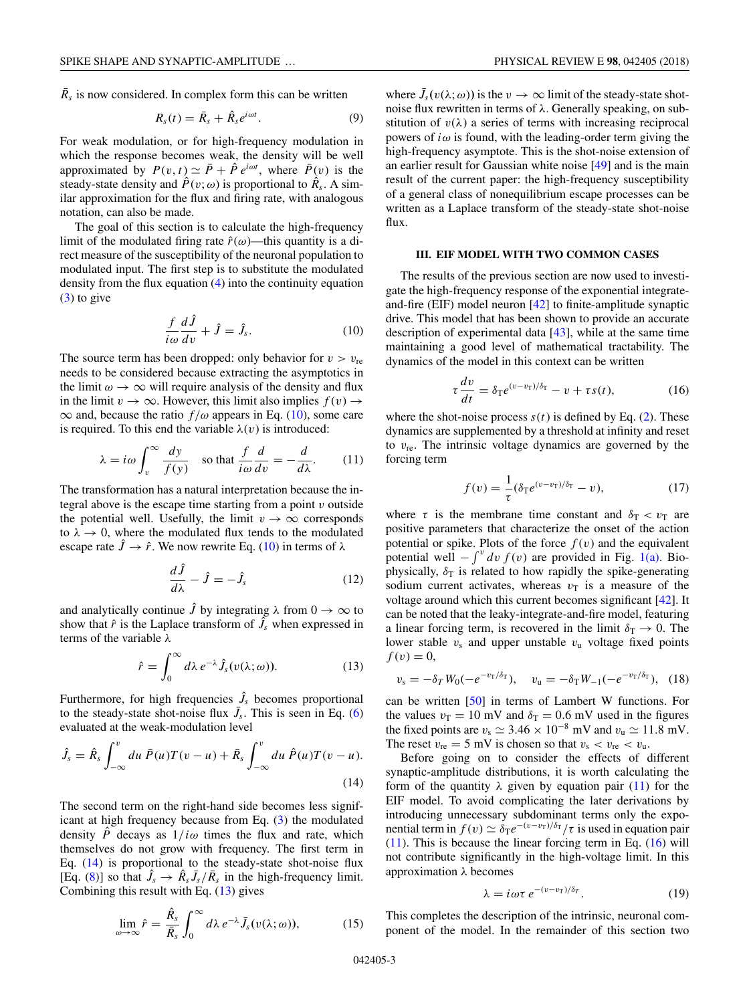<span id="page-2-0"></span> $\bar{R}_s$  is now considered. In complex form this can be written

$$
R_s(t) = \bar{R}_s + \hat{R}_s e^{i\omega t}.
$$
 (9)

For weak modulation, or for high-frequency modulation in which the response becomes weak, the density will be well approximated by  $P(v, t) \simeq \bar{P} + \hat{P} e^{i\omega t}$ , where  $\bar{P}(v)$  is the steady-state density and  $\hat{P}(v; \omega)$  is proportional to  $\hat{R}_s$ . A similar approximation for the flux and firing rate, with analogous notation, can also be made.

The goal of this section is to calculate the high-frequency limit of the modulated firing rate  $\hat{r}(\omega)$ —this quantity is a direct measure of the susceptibility of the neuronal population to modulated input. The first step is to substitute the modulated density from the flux equation [\(4\)](#page-1-0) into the continuity equation  $(3)$  to give

$$
\frac{f}{i\omega}\frac{d\hat{J}}{dv} + \hat{J} = \hat{J}_s.
$$
 (10)

The source term has been dropped: only behavior for  $v > v_{\text{re}}$ needs to be considered because extracting the asymptotics in the limit  $\omega \to \infty$  will require analysis of the density and flux in the limit  $v \to \infty$ . However, this limit also implies  $f(v) \to$  $\infty$  and, because the ratio  $f/\omega$  appears in Eq. (10), some care is required. To this end the variable  $\lambda(v)$  is introduced:

$$
\lambda = i\omega \int_{v}^{\infty} \frac{dy}{f(y)} \quad \text{so that } \frac{f}{i\omega} \frac{d}{dv} = -\frac{d}{d\lambda}.
$$
 (11)

The transformation has a natural interpretation because the integral above is the escape time starting from a point *v* outside the potential well. Usefully, the limit  $v \rightarrow \infty$  corresponds to  $\lambda \rightarrow 0$ , where the modulated flux tends to the modulated escape rate  $\hat{J} \rightarrow \hat{r}$ . We now rewrite Eq. (10) in terms of  $\lambda$ 

$$
\frac{d\hat{J}}{d\lambda} - \hat{J} = -\hat{J}_s \tag{12}
$$

and analytically continue  $\hat{J}$  by integrating  $\lambda$  from  $0 \to \infty$  to show that  $\hat{r}$  is the Laplace transform of  $\tilde{J}_s$  when expressed in terms of the variable *λ*

$$
\hat{r} = \int_0^\infty d\lambda \, e^{-\lambda} \hat{J}_s(v(\lambda; \omega)). \tag{13}
$$

Furthermore, for high frequencies  $\hat{J}_s$  becomes proportional to the steady-state shot-noise flux  $\bar{J}_s$ . This is seen in Eq. [\(6\)](#page-1-0) evaluated at the weak-modulation level

$$
\hat{J}_s = \hat{R}_s \int_{-\infty}^v du \,\,\bar{P}(u)T(v-u) + \bar{R}_s \int_{-\infty}^v du \,\,\hat{P}(u)T(v-u). \tag{14}
$$

The second term on the right-hand side becomes less significant at high frequency because from Eq. [\(3\)](#page-1-0) the modulated density  $\hat{P}$  decays as  $1/i\omega$  times the flux and rate, which themselves do not grow with frequency. The first term in Eq.  $(14)$  is proportional to the steady-state shot-noise flux  $[Eq. (8)]$  $[Eq. (8)]$  $[Eq. (8)]$  so that  $\hat{J}_s \rightarrow \hat{R}_s \bar{J}_s / \bar{R}_s$  in the high-frequency limit. Combining this result with Eq.  $(13)$  gives

$$
\lim_{\omega \to \infty} \hat{r} = \frac{\hat{R}_s}{\bar{R}_s} \int_0^\infty d\lambda \, e^{-\lambda} \, \bar{J}_s(v(\lambda; \omega)), \tag{15}
$$

where  $\bar{J}_s(v(\lambda; \omega))$  is the  $v \to \infty$  limit of the steady-state shotnoise flux rewritten in terms of *λ*. Generally speaking, on substitution of  $v(\lambda)$  a series of terms with increasing reciprocal powers of  $i\omega$  is found, with the leading-order term giving the high-frequency asymptote. This is the shot-noise extension of an earlier result for Gaussian white noise [\[49\]](#page-11-0) and is the main result of the current paper: the high-frequency susceptibility of a general class of nonequilibrium escape processes can be written as a Laplace transform of the steady-state shot-noise flux.

# **III. EIF MODEL WITH TWO COMMON CASES**

The results of the previous section are now used to investigate the high-frequency response of the exponential integrateand-fire (EIF) model neuron [\[42\]](#page-11-0) to finite-amplitude synaptic drive. This model that has been shown to provide an accurate description of experimental data [\[43\]](#page-11-0), while at the same time maintaining a good level of mathematical tractability. The dynamics of the model in this context can be written

$$
\tau \frac{dv}{dt} = \delta_{\mathcal{T}} e^{(v - v_{\mathcal{T}})/\delta_{\mathcal{T}}} - v + \tau s(t), \tag{16}
$$

where the shot-noise process  $s(t)$  is defined by Eq. [\(2\)](#page-1-0). These dynamics are supplemented by a threshold at infinity and reset to *v*re. The intrinsic voltage dynamics are governed by the forcing term

$$
f(v) = \frac{1}{\tau} (\delta_{\mathrm{T}} e^{(v - v_{\mathrm{T}})/\delta_{\mathrm{T}}} - v), \tag{17}
$$

where  $\tau$  is the membrane time constant and  $\delta_T < v_T$  are positive parameters that characterize the onset of the action potential or spike. Plots of the force  $f(v)$  and the equivalent potential well  $-\int^v dv f(v)$  are provided in Fig. [1\(a\).](#page-3-0) Biophysically,  $\delta_T$  is related to how rapidly the spike-generating sodium current activates, whereas  $v<sub>T</sub>$  is a measure of the voltage around which this current becomes significant [\[42\]](#page-11-0). It can be noted that the leaky-integrate-and-fire model, featuring a linear forcing term, is recovered in the limit  $\delta_{\rm T} \rightarrow 0$ . The lower stable  $v_s$  and upper unstable  $v_u$  voltage fixed points  $f(v) = 0$ ,

$$
v_{\rm s} = -\delta_T W_0(-e^{-v_{\rm T}/\delta_T}), \quad v_{\rm u} = -\delta_T W_{-1}(-e^{-v_{\rm T}/\delta_T}), \quad (18)
$$

can be written [\[50\]](#page-11-0) in terms of Lambert W functions. For the values  $v_T = 10$  mV and  $\delta_T = 0.6$  mV used in the figures the fixed points are  $v_s \simeq 3.46 \times 10^{-8}$  mV and  $v_u \simeq 11.8$  mV. The reset  $v_{\text{re}} = 5 \text{ mV}$  is chosen so that  $v_{\text{s}} < v_{\text{re}} < v_{\text{u}}$ .

Before going on to consider the effects of different synaptic-amplitude distributions, it is worth calculating the form of the quantity  $\lambda$  given by equation pair (11) for the EIF model. To avoid complicating the later derivations by introducing unnecessary subdominant terms only the exponential term in  $f(v) \simeq \delta_T e^{-(v-v_T)/\delta_T}/\tau$  is used in equation pair (11). This is because the linear forcing term in Eq. (16) will not contribute significantly in the high-voltage limit. In this approximation *λ* becomes

$$
\lambda = i \omega \tau \, e^{-(v-v_T)/\delta_T}.\tag{19}
$$

This completes the description of the intrinsic, neuronal component of the model. In the remainder of this section two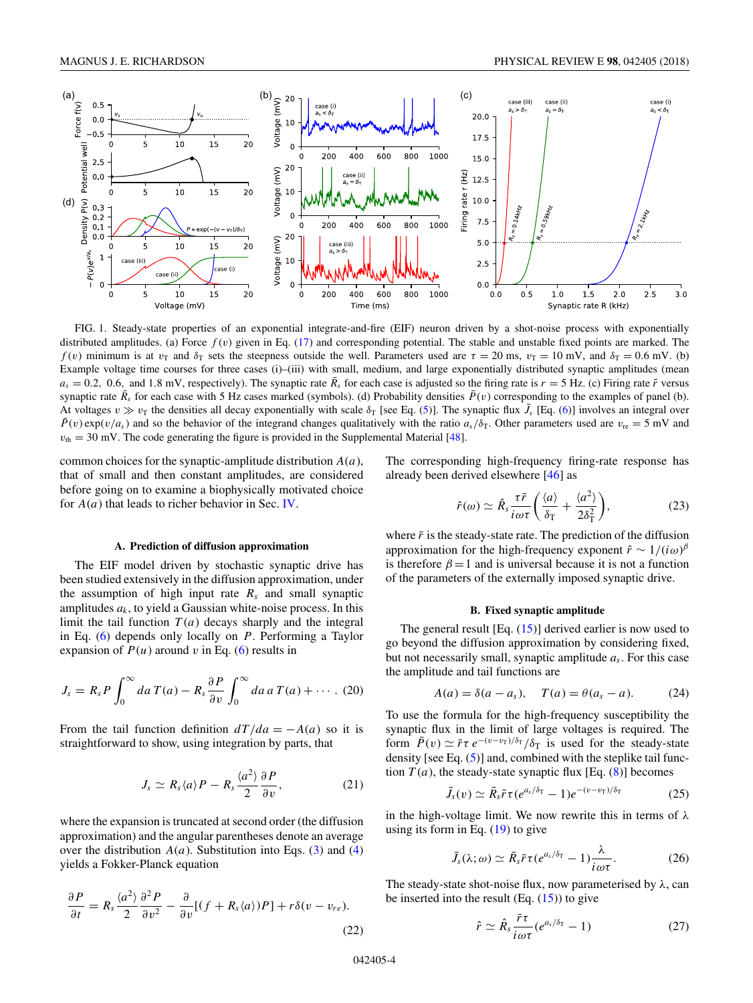<span id="page-3-0"></span>

FIG. 1. Steady-state properties of an exponential integrate-and-fire (EIF) neuron driven by a shot-noise process with exponentially distributed amplitudes. (a) Force *f* (*v*) given in Eq. [\(17\)](#page-2-0) and corresponding potential. The stable and unstable fixed points are marked. The *f*(*v*) minimum is at *v*<sub>T</sub> and  $\delta_T$  sets the steepness outside the well. Parameters used are  $\tau = 20$  ms,  $v_T = 10$  mV, and  $\delta_T = 0.6$  mV. (b) Example voltage time courses for three cases (i)–(iii) with small, medium, and large exponentially distributed synaptic amplitudes (mean  $a_s = 0.2$ , 0.6, and 1.8 mV, respectively). The synaptic rate  $\bar{R}_s$  for each case is adjusted so the firing rate is  $r = 5$  Hz. (c) Firing rate  $\bar{r}$  versus synaptic rate  $\bar{R}_s$  for each case with 5 Hz cases marked (symbols). (d) Probability densities  $\bar{P}(v)$  corresponding to the examples of panel (b). At voltages  $v \gg v_T$  the densities all decay exponentially with scale  $\delta_T$  [see Eq. [\(5\)](#page-1-0)]. The synaptic flux  $\bar{J}_s$  [Eq. [\(6\)](#page-1-0)] involves an integral over  $\bar{P}(v) \exp(v/a_s)$  and so the behavior of the integrand changes qualitatively with the ratio  $a_s/\delta_T$ . Other parameters used are  $v_{\rm re} = 5$  mV and  $v_{\text{th}} = 30$  mV. The code generating the figure is provided in the Supplemental Material [\[48\]](#page-11-0).

common choices for the synaptic-amplitude distribution *A*(*a*), that of small and then constant amplitudes, are considered before going on to examine a biophysically motivated choice for *A*(*a*) that leads to richer behavior in Sec. [IV.](#page-4-0)

### **A. Prediction of diffusion approximation**

The EIF model driven by stochastic synaptic drive has been studied extensively in the diffusion approximation, under the assumption of high input rate  $R_s$  and small synaptic amplitudes  $a_k$ , to yield a Gaussian white-noise process. In this limit the tail function  $T(a)$  decays sharply and the integral in Eq. [\(6\)](#page-1-0) depends only locally on *P*. Performing a Taylor expansion of  $P(u)$  around  $v$  in Eq. [\(6\)](#page-1-0) results in

$$
J_s = R_s P \int_0^\infty da \, T(a) - R_s \frac{\partial P}{\partial v} \int_0^\infty da \, a \, T(a) + \cdots. \tag{20}
$$

From the tail function definition  $dT/da = -A(a)$  so it is straightforward to show, using integration by parts, that

$$
J_s \simeq R_s \langle a \rangle P - R_s \frac{\langle a^2 \rangle}{2} \frac{\partial P}{\partial v}, \qquad (21)
$$

where the expansion is truncated at second order (the diffusion approximation) and the angular parentheses denote an average over the distribution  $A(a)$ . Substitution into Eqs. [\(3\)](#page-1-0) and [\(4\)](#page-1-0) yields a Fokker-Planck equation

$$
\frac{\partial P}{\partial t} = R_s \frac{\langle a^2 \rangle}{2} \frac{\partial^2 P}{\partial v^2} - \frac{\partial}{\partial v} [(f + R_s \langle a \rangle) P] + r \delta(v - v_{re}).
$$
\n(22)

The corresponding high-frequency firing-rate response has already been derived elsewhere [\[46\]](#page-11-0) as

$$
\hat{r}(\omega) \simeq \hat{R}_s \frac{\tau \bar{r}}{i \omega \tau} \bigg( \frac{\langle a \rangle}{\delta_{\rm T}} + \frac{\langle a^2 \rangle}{2 \delta_{\rm T}^2} \bigg),\tag{23}
$$

where  $\bar{r}$  is the steady-state rate. The prediction of the diffusion approximation for the high-frequency exponent  $\hat{r} \sim 1/(i\omega)^{\beta}$ is therefore  $\beta = 1$  and is universal because it is not a function of the parameters of the externally imposed synaptic drive.

#### **B. Fixed synaptic amplitude**

The general result  $[Eq. (15)]$  $[Eq. (15)]$  $[Eq. (15)]$  derived earlier is now used to go beyond the diffusion approximation by considering fixed, but not necessarily small, synaptic amplitude *as*. For this case the amplitude and tail functions are

$$
A(a) = \delta(a - a_s), \quad T(a) = \theta(a_s - a).
$$
 (24)

To use the formula for the high-frequency susceptibility the synaptic flux in the limit of large voltages is required. The form  $\bar{P}(v) \simeq \bar{r} \tau e^{-(v-v_T)/\delta_T}/\delta_T$  is used for the steady-state density [see Eq. [\(5\)](#page-1-0)] and, combined with the steplike tail function  $T(a)$ , the steady-state synaptic flux [Eq. [\(8\)](#page-1-0)] becomes

$$
\bar{J}_s(v) \simeq \bar{R}_s \bar{r} \tau (e^{a_s/\delta_T} - 1) e^{-(v - v_T)/\delta_T}
$$
 (25)

in the high-voltage limit. We now rewrite this in terms of *λ* using its form in Eq.  $(19)$  to give

$$
\bar{J}_s(\lambda;\omega) \simeq \bar{R}_s \bar{r} \tau (e^{a_s/\delta \tau} - 1) \frac{\lambda}{i \omega \tau}.
$$
 (26)

The steady-state shot-noise flux, now parameterised by *λ*, can be inserted into the result  $(Eq. (15))$  $(Eq. (15))$  $(Eq. (15))$  to give

$$
\hat{r} \simeq \hat{R}_s \frac{\bar{r}\tau}{i\omega\tau} (e^{a_s/\delta_{\rm T}} - 1)
$$
 (27)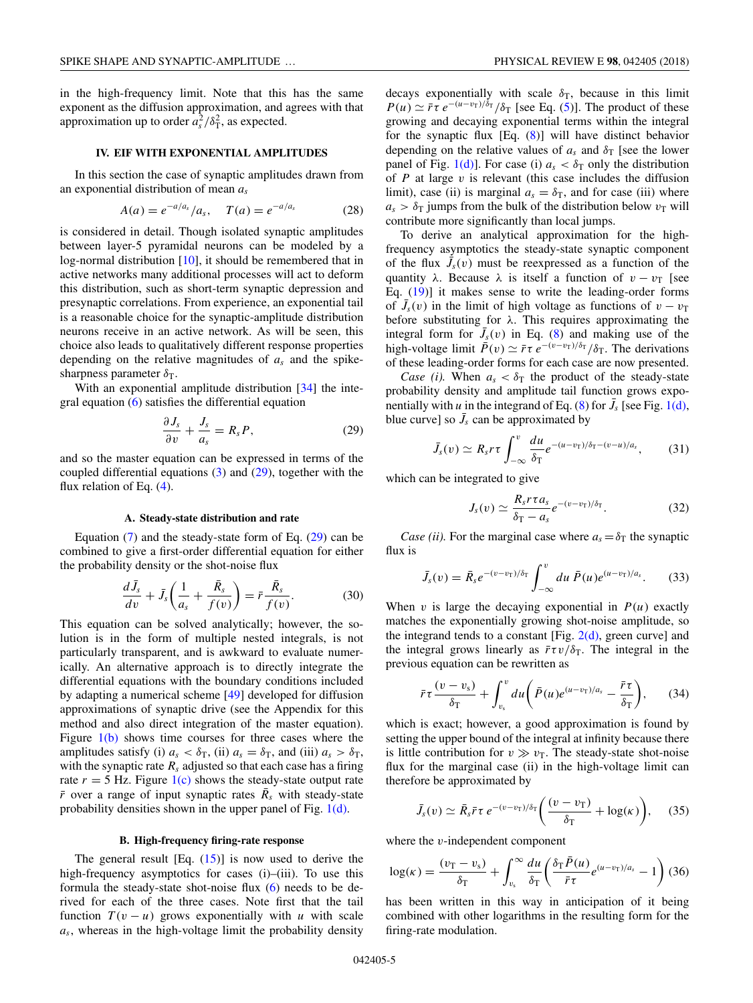<span id="page-4-0"></span>in the high-frequency limit. Note that this has the same exponent as the diffusion approximation, and agrees with that approximation up to order  $a_s^2/\delta_\text{T}^2$ , as expected.

# **IV. EIF WITH EXPONENTIAL AMPLITUDES**

In this section the case of synaptic amplitudes drawn from an exponential distribution of mean *as*

$$
A(a) = e^{-a/a_s}/a_s, \quad T(a) = e^{-a/a_s} \tag{28}
$$

is considered in detail. Though isolated synaptic amplitudes between layer-5 pyramidal neurons can be modeled by a log-normal distribution [\[10\]](#page-11-0), it should be remembered that in active networks many additional processes will act to deform this distribution, such as short-term synaptic depression and presynaptic correlations. From experience, an exponential tail is a reasonable choice for the synaptic-amplitude distribution neurons receive in an active network. As will be seen, this choice also leads to qualitatively different response properties depending on the relative magnitudes of *as* and the spikesharpness parameter  $\delta_{\rm T}$ .

With an exponential amplitude distribution [\[34\]](#page-11-0) the integral equation [\(6\)](#page-1-0) satisfies the differential equation

$$
\frac{\partial J_s}{\partial v} + \frac{J_s}{a_s} = R_s P,\tag{29}
$$

and so the master equation can be expressed in terms of the coupled differential equations  $(3)$  and  $(29)$ , together with the flux relation of Eq.  $(4)$ .

### **A. Steady-state distribution and rate**

Equation  $(7)$  and the steady-state form of Eq.  $(29)$  can be combined to give a first-order differential equation for either the probability density or the shot-noise flux

$$
\frac{d\bar{J}_s}{dv} + \bar{J}_s \left( \frac{1}{a_s} + \frac{\bar{R}_s}{f(v)} \right) = \bar{r} \frac{\bar{R}_s}{f(v)}.
$$
 (30)

This equation can be solved analytically; however, the solution is in the form of multiple nested integrals, is not particularly transparent, and is awkward to evaluate numerically. An alternative approach is to directly integrate the differential equations with the boundary conditions included by adapting a numerical scheme [\[49\]](#page-11-0) developed for diffusion approximations of synaptic drive (see the Appendix for this method and also direct integration of the master equation). Figure  $1(b)$  shows time courses for three cases where the amplitudes satisfy (i)  $a_s < \delta_T$ , (ii)  $a_s = \delta_T$ , and (iii)  $a_s > \delta_T$ , with the synaptic rate  $R_s$  adjusted so that each case has a firing rate  $r = 5$  Hz. Figure  $1(c)$  shows the steady-state output rate  $\bar{r}$  over a range of input synaptic rates  $\bar{R}_s$  with steady-state probability densities shown in the upper panel of Fig. [1\(d\).](#page-3-0)

### **B. High-frequency firing-rate response**

The general result  $[Eq, (15)]$  $[Eq, (15)]$  $[Eq, (15)]$  is now used to derive the high-frequency asymptotics for cases (i)–(iii). To use this formula the steady-state shot-noise flux  $(6)$  needs to be derived for each of the three cases. Note first that the tail function  $T(v - u)$  grows exponentially with *u* with scale *as*, whereas in the high-voltage limit the probability density decays exponentially with scale  $\delta_T$ , because in this limit  $P(u) \simeq \overline{r} \tau e^{-(u-v_T)/\delta_T}/\delta_T$  [see Eq. [\(5\)](#page-1-0)]. The product of these growing and decaying exponential terms within the integral for the synaptic flux [Eq. [\(8\)](#page-1-0)] will have distinct behavior depending on the relative values of  $a_s$  and  $\delta_{\rm T}$  [see the lower panel of Fig. [1\(d\)\]](#page-3-0). For case (i)  $a_s < \delta_T$  only the distribution of *P* at large *v* is relevant (this case includes the diffusion limit), case (ii) is marginal  $a_s = \delta_T$ , and for case (iii) where

contribute more significantly than local jumps. To derive an analytical approximation for the highfrequency asymptotics the steady-state synaptic component of the flux  $J_s(v)$  must be reexpressed as a function of the quantity  $\lambda$ . Because  $\lambda$  is itself a function of  $v - v<sub>T</sub>$  [see Eq. [\(19\)](#page-2-0)] it makes sense to write the leading-order forms of  $\bar{J}_s(v)$  in the limit of high voltage as functions of  $v - v_\text{T}$ before substituting for *λ*. This requires approximating the integral form for  $\bar{J}_s(v)$  in Eq. [\(8\)](#page-1-0) and making use of the high-voltage limit  $\bar{P}(v) \simeq \bar{r} \tau e^{-(v-v_T)/\delta_T}/\delta_T$ . The derivations of these leading-order forms for each case are now presented.

 $a_s > \delta_T$  jumps from the bulk of the distribution below  $v_T$  will

*Case (i).* When  $a_s < \delta_T$  the product of the steady-state probability density and amplitude tail function grows exponentially with *u* in the integrand of Eq. [\(8\)](#page-1-0) for  $\bar{J}_s$  [see Fig. [1\(d\),](#page-3-0) blue curve] so  $\bar{J}_s$  can be approximated by

$$
\bar{J}_s(v) \simeq R_s r \tau \int_{-\infty}^v \frac{du}{\delta \tau} e^{-(u-v_\text{T})/\delta_\text{T} - (v-u)/a_s}, \quad (31)
$$

which can be integrated to give

$$
J_s(v) \simeq \frac{R_s r \tau a_s}{\delta_{\rm T} - a_s} e^{-(v-v_{\rm T})/\delta_{\rm T}}.
$$
 (32)

*Case (ii).* For the marginal case where  $a_s = \delta_T$  the synaptic flux is

$$
\bar{J}_s(v) = \bar{R}_s e^{-(v-v_\text{T})/\delta_\text{T}} \int_{-\infty}^v du \,\bar{P}(u) e^{(u-v_\text{T})/a_s}.\tag{33}
$$

When  $v$  is large the decaying exponential in  $P(u)$  exactly matches the exponentially growing shot-noise amplitude, so the integrand tends to a constant [Fig.  $2(d)$ , green curve] and the integral grows linearly as  $\bar{r}\tau v/\delta$ <sub>T</sub>. The integral in the previous equation can be rewritten as

$$
\bar{r}\tau \frac{(v-v_{\rm s})}{\delta_{\rm T}} + \int_{v_{\rm s}}^{v} du \bigg(\bar{P}(u)e^{(u-v_{\rm T})/a_{\rm s}} - \frac{\bar{r}\tau}{\delta_{\rm T}}\bigg),\qquad(34)
$$

which is exact; however, a good approximation is found by setting the upper bound of the integral at infinity because there is little contribution for  $v \gg v<sub>T</sub>$ . The steady-state shot-noise flux for the marginal case (ii) in the high-voltage limit can therefore be approximated by

$$
\bar{J}_s(v) \simeq \bar{R}_s \bar{r} \tau \, e^{-(v-v_T)/\delta_T} \bigg( \frac{(v-v_T)}{\delta_T} + \log(\kappa) \bigg), \quad (35)
$$

where the *v*-independent component

$$
\log(\kappa) = \frac{(v_{\rm T} - v_{\rm s})}{\delta_{\rm T}} + \int_{v_{\rm s}}^{\infty} \frac{du}{\delta_{\rm T}} \left( \frac{\delta_{\rm T} \bar{P}(u)}{\bar{r} \tau} e^{(u - v_{\rm T})/a_{\rm s}} - 1 \right) (36)
$$

has been written in this way in anticipation of it being combined with other logarithms in the resulting form for the firing-rate modulation.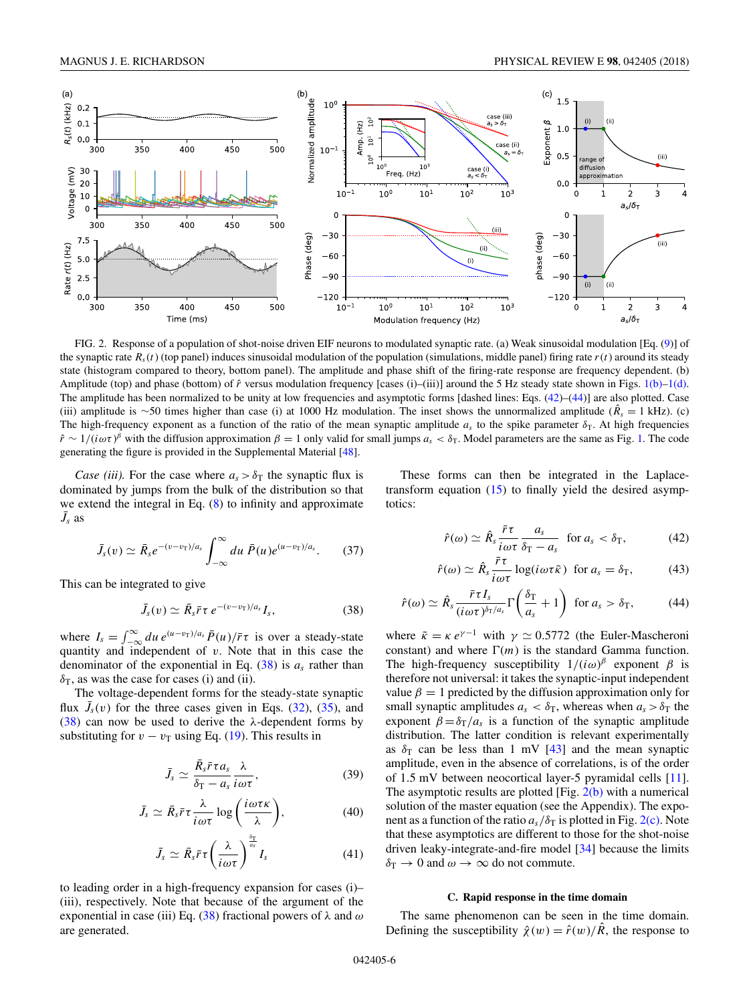<span id="page-5-0"></span>

FIG. 2. Response of a population of shot-noise driven EIF neurons to modulated synaptic rate. (a) Weak sinusoidal modulation [Eq. [\(9\)](#page-2-0)] of the synaptic rate  $R_s(t)$  (top panel) induces sinusoidal modulation of the population (simulations, middle panel) firing rate  $r(t)$  around its steady state (histogram compared to theory, bottom panel). The amplitude and phase shift of the firing-rate response are frequency dependent. (b) Amplitude (top) and phase (bottom) of  $\hat{r}$  versus modulation frequency [cases (i)–(iii)] around the 5 Hz steady state shown in Figs. [1\(b\)–1\(d\).](#page-3-0) The amplitude has been normalized to be unity at low frequencies and asymptotic forms [dashed lines: Eqs.  $(42)$ – $(44)$ ] are also plotted. Case (iii) amplitude is ∼50 times higher than case (i) at 1000 Hz modulation. The inset shows the unnormalized amplitude ( $\hat{R}^s = 1$  kHz). (c) The high-frequency exponent as a function of the ratio of the mean synaptic amplitude  $a<sub>s</sub>$  to the spike parameter  $\delta<sub>T</sub>$ . At high frequencies  $\hat{r} \sim 1/(\hat{i}\omega\tau)^{\beta}$  with the diffusion approximation  $\beta = 1$  only valid for small jumps  $a_s < \delta_{\rm T}$ . Model parameters are the same as Fig. [1.](#page-3-0) The code generating the figure is provided in the Supplemental Material [\[48\]](#page-11-0).

*Case (iii).* For the case where  $a_s > \delta_\text{T}$  the synaptic flux is dominated by jumps from the bulk of the distribution so that we extend the integral in Eq. [\(8\)](#page-1-0) to infinity and approximate  $\bar{J}_s$  as

$$
\bar{J}_s(v) \simeq \bar{R}_s e^{-(v-v_T)/a_s} \int_{-\infty}^{\infty} du \ \bar{P}(u) e^{(u-v_T)/a_s}.\tag{37}
$$

This can be integrated to give

$$
\bar{J}_s(v) \simeq \bar{R}_s \bar{r} \tau \, e^{-(v-v_T)/a_s} I_s, \qquad (38)
$$

where  $I_s = \int_{-\infty}^{\infty} du \, e^{(u-v_T)/a_s} \bar{P}(u) / \bar{r} \tau$  is over a steady-state quantity and independent of *v*. Note that in this case the denominator of the exponential in Eq. (38) is *as* rather than  $\delta$ <sub>T</sub>, as was the case for cases (i) and (ii).

The voltage-dependent forms for the steady-state synaptic flux  $\bar{J}_s(v)$  for the three cases given in Eqs. [\(32\)](#page-4-0), [\(35\)](#page-4-0), and (38) can now be used to derive the *λ*-dependent forms by substituting for  $v - v<sub>T</sub>$  using Eq. [\(19\)](#page-2-0). This results in

$$
\bar{J}_s \simeq \frac{\bar{R}_s \bar{r} \tau a_s}{\delta_{\rm T} - a_s} \frac{\lambda}{i \omega \tau},\tag{39}
$$

$$
\bar{J}_s \simeq \bar{R}_s \bar{r} \tau \frac{\lambda}{i \omega \tau} \log \left( \frac{i \omega \tau \kappa}{\lambda} \right), \tag{40}
$$

$$
\bar{J}_s \simeq \bar{R}_s \bar{r} \tau \left(\frac{\lambda}{i \omega \tau}\right)^{\frac{\delta \tau}{\alpha_s}} I_s \tag{41}
$$

to leading order in a high-frequency expansion for cases (i)– (iii), respectively. Note that because of the argument of the exponential in case (iii) Eq. (38) fractional powers of *λ* and *ω* are generated.

These forms can then be integrated in the Laplacetransform equation  $(15)$  to finally yield the desired asymptotics:

$$
\hat{r}(\omega) \simeq \hat{R}_s \frac{\bar{r}\tau}{i\omega\tau} \frac{a_s}{\delta_{\rm T} - a_s} \quad \text{for } a_s < \delta_{\rm T}, \tag{42}
$$

$$
\hat{r}(\omega) \simeq \hat{R}_s \frac{\bar{r}\tau}{i\omega\tau} \log(i\omega\tau\tilde{\kappa}) \text{ for } a_s = \delta_\text{T}, \quad (43)
$$

$$
\hat{r}(\omega) \simeq \hat{R}_s \frac{\bar{r} \tau I_s}{(i \omega \tau)^{\delta_T/a_s}} \Gamma\left(\frac{\delta_T}{a_s} + 1\right) \text{ for } a_s > \delta_T,
$$
 (44)

where  $\tilde{\kappa} = \kappa e^{\gamma - 1}$  with  $\gamma \simeq 0.5772$  (the Euler-Mascheroni constant) and where  $\Gamma(m)$  is the standard Gamma function. The high-frequency susceptibility  $1/(i\omega)^{\beta}$  exponent  $\beta$  is therefore not universal: it takes the synaptic-input independent value  $\beta = 1$  predicted by the diffusion approximation only for small synaptic amplitudes  $a_s < \delta_T$ , whereas when  $a_s > \delta_T$  the exponent  $\beta = \delta_T/a_s$  is a function of the synaptic amplitude distribution. The latter condition is relevant experimentally as  $\delta_T$  can be less than 1 mV [\[43\]](#page-11-0) and the mean synaptic amplitude, even in the absence of correlations, is of the order of 1*.*5 mV between neocortical layer-5 pyramidal cells [\[11\]](#page-11-0). The asymptotic results are plotted  $[Fig. 2(b)$  with a numerical solution of the master equation (see the Appendix). The exponent as a function of the ratio  $a_s/\delta_T$  is plotted in Fig. 2(c). Note that these asymptotics are different to those for the shot-noise driven leaky-integrate-and-fire model [\[34\]](#page-11-0) because the limits  $\delta_{\rm T} \rightarrow 0$  and  $\omega \rightarrow \infty$  do not commute.

### **C. Rapid response in the time domain**

The same phenomenon can be seen in the time domain. Defining the susceptibility  $\hat{\chi}(w) = \hat{r}(w)/\hat{R}$ , the response to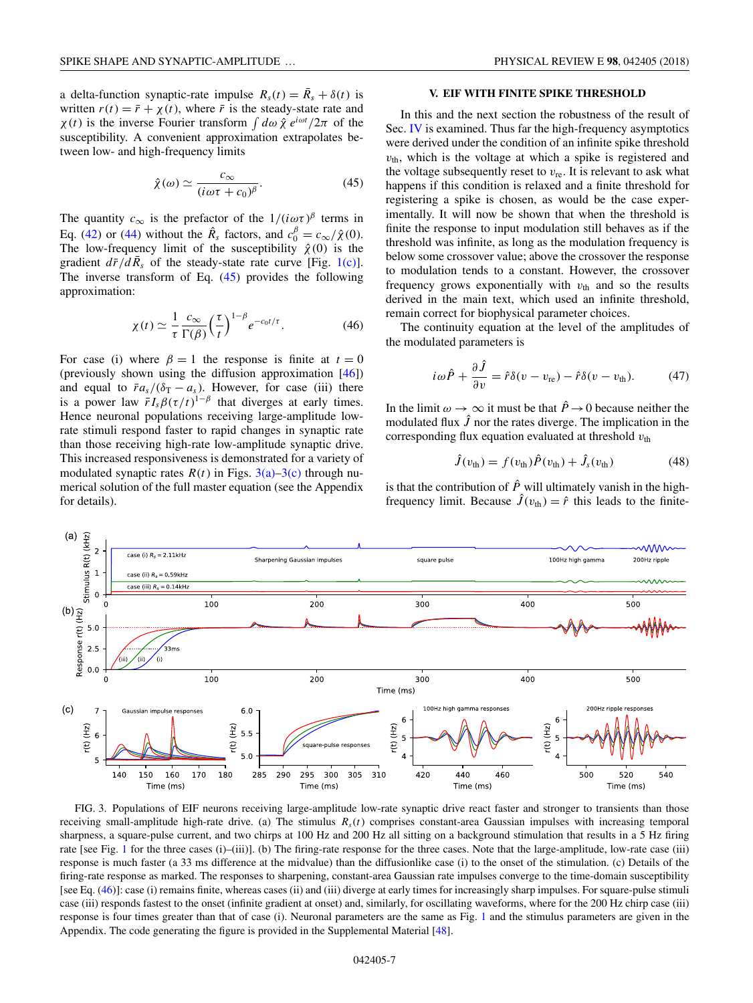<span id="page-6-0"></span>a delta-function synaptic-rate impulse  $R_s(t) = \bar{R}_s + \delta(t)$  is written  $r(t) = \bar{r} + \chi(t)$ , where  $\bar{r}$  is the steady-state rate and *χ*(*t*) is the inverse Fourier transform  $\int d\omega \hat{\chi} e^{i\omega t}/2\pi$  of the susceptibility. A convenient approximation extrapolates between low- and high-frequency limits

$$
\hat{\chi}(\omega) \simeq \frac{c_{\infty}}{(i\omega\tau + c_0)^{\beta}}.\tag{45}
$$

The quantity  $c_{\infty}$  is the prefactor of the  $1/(i\omega\tau)^{\beta}$  terms in Eq. [\(42\)](#page-5-0) or [\(44\)](#page-5-0) without the  $\hat{R}_s$  factors, and  $c_0^{\beta} = c_{\infty}/\hat{\chi}(0)$ . The low-frequency limit of the susceptibility  $\hat{\chi}(0)$  is the gradient  $d\bar{r}/d\bar{R}_s$  of the steady-state rate curve [Fig. [1\(c\)\]](#page-3-0). The inverse transform of Eq.  $(45)$  provides the following approximation:

$$
\chi(t) \simeq \frac{1}{\tau} \frac{c_{\infty}}{\Gamma(\beta)} \left(\frac{\tau}{t}\right)^{1-\beta} e^{-c_0 t/\tau}.
$$
 (46)

For case (i) where  $\beta = 1$  the response is finite at  $t = 0$ (previously shown using the diffusion approximation [\[46\]](#page-11-0)) and equal to  $\bar{r}a_s/(\delta_T - a_s)$ . However, for case (iii) there is a power law  $\bar{r}I_s\beta(\tau/t)^{1-\beta}$  that diverges at early times. Hence neuronal populations receiving large-amplitude lowrate stimuli respond faster to rapid changes in synaptic rate than those receiving high-rate low-amplitude synaptic drive. This increased responsiveness is demonstrated for a variety of modulated synaptic rates  $R(t)$  in Figs. 3(a)–3(c) through numerical solution of the full master equation (see the Appendix for details).

# **V. EIF WITH FINITE SPIKE THRESHOLD**

In this and the next section the robustness of the result of Sec. [IV](#page-4-0) is examined. Thus far the high-frequency asymptotics were derived under the condition of an infinite spike threshold  $v<sub>th</sub>$ , which is the voltage at which a spike is registered and the voltage subsequently reset to  $v_{\text{re}}$ . It is relevant to ask what happens if this condition is relaxed and a finite threshold for registering a spike is chosen, as would be the case experimentally. It will now be shown that when the threshold is finite the response to input modulation still behaves as if the threshold was infinite, as long as the modulation frequency is below some crossover value; above the crossover the response to modulation tends to a constant. However, the crossover frequency grows exponentially with  $v_{\text{th}}$  and so the results derived in the main text, which used an infinite threshold, remain correct for biophysical parameter choices.

The continuity equation at the level of the amplitudes of the modulated parameters is

$$
i\omega\hat{P} + \frac{\partial\hat{J}}{\partial v} = \hat{r}\delta(v - v_{\rm re}) - \hat{r}\delta(v - v_{\rm th}).\tag{47}
$$

In the limit  $\omega \to \infty$  it must be that  $\hat{P} \to 0$  because neither the modulated flux  $\hat{J}$  nor the rates diverge. The implication in the corresponding flux equation evaluated at threshold  $v_{\text{th}}$ 

$$
\hat{J}(v_{\text{th}}) = f(v_{\text{th}})\hat{P}(v_{\text{th}}) + \hat{J}_s(v_{\text{th}})
$$
\n(48)

is that the contribution of  $\hat{P}$  will ultimately vanish in the highfrequency limit. Because  $\hat{J}(v_{\text{th}}) = \hat{r}$  this leads to the finite-



FIG. 3. Populations of EIF neurons receiving large-amplitude low-rate synaptic drive react faster and stronger to transients than those receiving small-amplitude high-rate drive. (a) The stimulus  $R<sub>s</sub>(t)$  comprises constant-area Gaussian impulses with increasing temporal sharpness, a square-pulse current, and two chirps at 100 Hz and 200 Hz all sitting on a background stimulation that results in a 5 Hz firing rate [see Fig. [1](#page-3-0) for the three cases (i)–(iii)]. (b) The firing-rate response for the three cases. Note that the large-amplitude, low-rate case (iii) response is much faster (a 33 ms difference at the midvalue) than the diffusionlike case (i) to the onset of the stimulation. (c) Details of the firing-rate response as marked. The responses to sharpening, constant-area Gaussian rate impulses converge to the time-domain susceptibility [see Eq. (46)]: case (i) remains finite, whereas cases (ii) and (iii) diverge at early times for increasingly sharp impulses. For square-pulse stimuli case (iii) responds fastest to the onset (infinite gradient at onset) and, similarly, for oscillating waveforms, where for the 200 Hz chirp case (iii) response is four times greater than that of case (i). Neuronal parameters are the same as Fig. [1](#page-3-0) and the stimulus parameters are given in the Appendix. The code generating the figure is provided in the Supplemental Material [\[48\]](#page-11-0).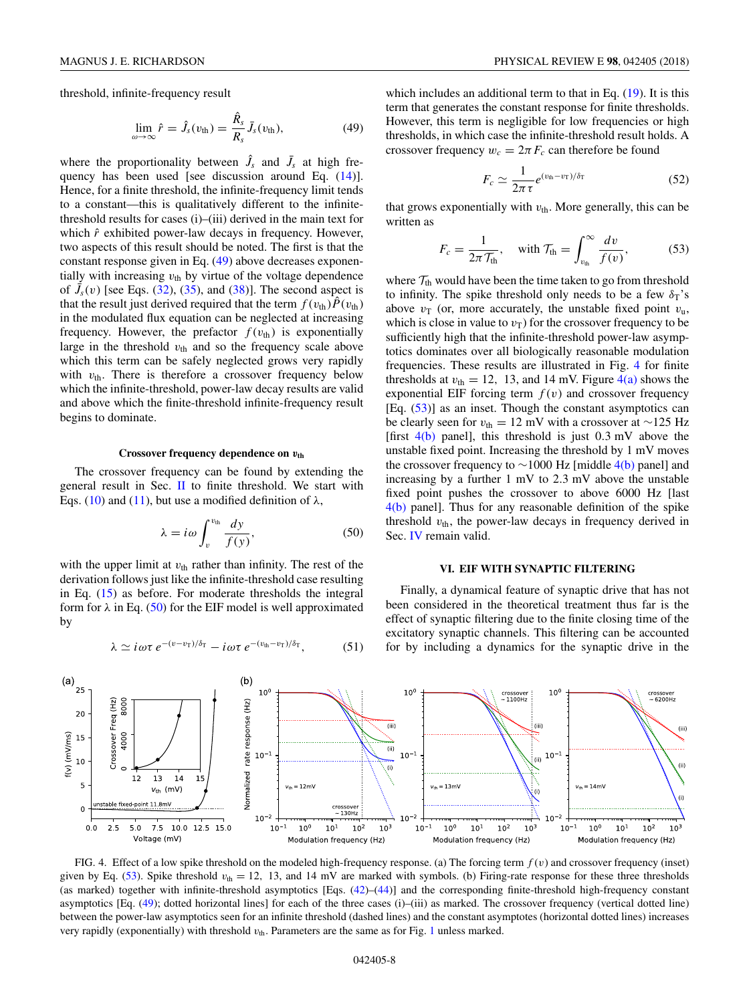<span id="page-7-0"></span>threshold, infinite-frequency result

$$
\lim_{\omega \to \infty} \hat{r} = \hat{J}_s(v_{\text{th}}) = \frac{\hat{R}_s}{R_s} \bar{J}_s(v_{\text{th}}), \tag{49}
$$

where the proportionality between  $\hat{J}_s$  and  $\bar{J}_s$  at high frequency has been used [see discussion around Eq. [\(14\)](#page-2-0)]. Hence, for a finite threshold, the infinite-frequency limit tends to a constant—this is qualitatively different to the infinitethreshold results for cases (i)–(iii) derived in the main text for which  $\hat{r}$  exhibited power-law decays in frequency. However, two aspects of this result should be noted. The first is that the constant response given in Eq. (49) above decreases exponentially with increasing  $v_{\text{th}}$  by virtue of the voltage dependence of  $\bar{J}_s(v)$  [see Eqs. [\(32\)](#page-4-0), [\(35\)](#page-4-0), and [\(38\)](#page-5-0)]. The second aspect is that the result just derived required that the term  $f(v_{\text{th}}) \dot{P}(v_{\text{th}})$ in the modulated flux equation can be neglected at increasing frequency. However, the prefactor  $f(v_{th})$  is exponentially large in the threshold  $v_{\text{th}}$  and so the frequency scale above which this term can be safely neglected grows very rapidly with  $v_{\text{th}}$ . There is therefore a crossover frequency below which the infinite-threshold, power-law decay results are valid and above which the finite-threshold infinite-frequency result begins to dominate.

#### **Crossover frequency dependence on** *v***th**

The crossover frequency can be found by extending the general result in Sec.  $\Pi$  to finite threshold. We start with Eqs. [\(10\)](#page-2-0) and [\(11\)](#page-2-0), but use a modified definition of  $\lambda$ ,

$$
\lambda = i\omega \int_{v}^{v_{\text{th}}} \frac{dy}{f(y)},\tag{50}
$$

with the upper limit at  $v_{\text{th}}$  rather than infinity. The rest of the derivation follows just like the infinite-threshold case resulting in Eq. [\(15\)](#page-2-0) as before. For moderate thresholds the integral form for  $\lambda$  in Eq. (50) for the EIF model is well approximated by

$$
\lambda \simeq i \omega \tau \, e^{-(v-v_T)/\delta_T} - i \omega \tau \, e^{-(v_{\text{th}}-v_T)/\delta_T}, \tag{51}
$$

which includes an additional term to that in Eq. [\(19\)](#page-2-0). It is this term that generates the constant response for finite thresholds. However, this term is negligible for low frequencies or high thresholds, in which case the infinite-threshold result holds. A crossover frequency  $w_c = 2\pi F_c$  can therefore be found

$$
F_c \simeq \frac{1}{2\pi\tau} e^{(\nu_{\text{th}} - \nu_{\text{T}})/\delta_{\text{T}}}
$$
 (52)

that grows exponentially with  $v_{\text{th}}$ . More generally, this can be written as

$$
F_c = \frac{1}{2\pi\mathcal{T}_{\text{th}}}, \quad \text{with } \mathcal{T}_{\text{th}} = \int_{v_{\text{th}}}^{\infty} \frac{dv}{f(v)}, \tag{53}
$$

where  $T_{\text{th}}$  would have been the time taken to go from threshold to infinity. The spike threshold only needs to be a few  $\delta_T$ 's above  $v_T$  (or, more accurately, the unstable fixed point  $v_u$ , which is close in value to  $v_T$ ) for the crossover frequency to be sufficiently high that the infinite-threshold power-law asymptotics dominates over all biologically reasonable modulation frequencies. These results are illustrated in Fig. 4 for finite thresholds at  $v_{\text{th}} = 12$ , 13, and 14 mV. Figure  $4(a)$  shows the exponential EIF forcing term  $f(v)$  and crossover frequency [Eq. (53)] as an inset. Though the constant asymptotics can be clearly seen for  $v_{\text{th}} = 12$  mV with a crossover at ~125 Hz [first 4(b) panel], this threshold is just 0*.*3 mV above the unstable fixed point. Increasing the threshold by 1 mV moves the crossover frequency to  $\sim$ 1000 Hz [middle 4(b) panel] and increasing by a further 1 mV to 2*.*3 mV above the unstable fixed point pushes the crossover to above 6000 Hz [last 4(b) panel]. Thus for any reasonable definition of the spike threshold  $v_{th}$ , the power-law decays in frequency derived in Sec. [IV](#page-4-0) remain valid.

### **VI. EIF WITH SYNAPTIC FILTERING**

Finally, a dynamical feature of synaptic drive that has not been considered in the theoretical treatment thus far is the effect of synaptic filtering due to the finite closing time of the excitatory synaptic channels. This filtering can be accounted for by including a dynamics for the synaptic drive in the



FIG. 4. Effect of a low spike threshold on the modeled high-frequency response. (a) The forcing term *f* (*v*) and crossover frequency (inset) given by Eq. (53). Spike threshold  $v_{th} = 12$ , 13, and 14 mV are marked with symbols. (b) Firing-rate response for these three thresholds (as marked) together with infinite-threshold asymptotics [Eqs. [\(42\)](#page-5-0)–[\(44\)](#page-5-0)] and the corresponding finite-threshold high-frequency constant asymptotics [Eq. (49); dotted horizontal lines] for each of the three cases (i)–(iii) as marked. The crossover frequency (vertical dotted line) between the power-law asymptotics seen for an infinite threshold (dashed lines) and the constant asymptotes (horizontal dotted lines) increases very rapidly (exponentially) with threshold *v*th. Parameters are the same as for Fig. [1](#page-3-0) unless marked.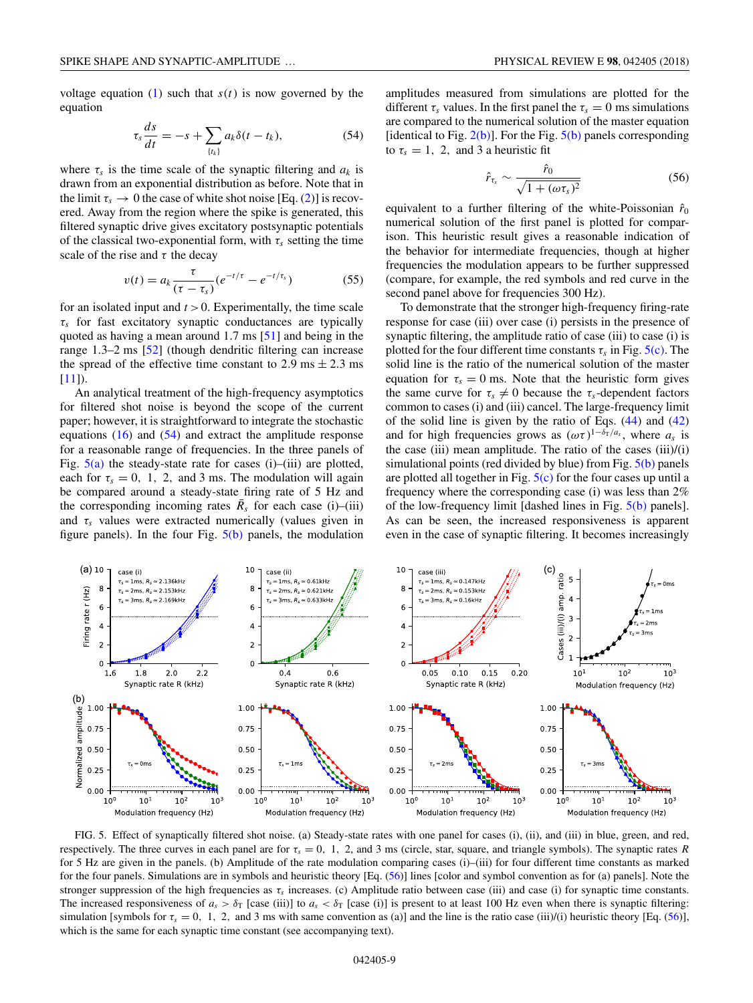voltage equation  $(1)$  such that  $s(t)$  is now governed by the equation

$$
\tau_s \frac{ds}{dt} = -s + \sum_{\{t_k\}} a_k \delta(t - t_k), \tag{54}
$$

where  $\tau_s$  is the time scale of the synaptic filtering and  $a_k$  is drawn from an exponential distribution as before. Note that in the limit  $\tau_s \to 0$  the case of white shot noise [Eq. [\(2\)](#page-1-0)] is recovered. Away from the region where the spike is generated, this filtered synaptic drive gives excitatory postsynaptic potentials of the classical two-exponential form, with  $\tau_s$  setting the time scale of the rise and  $\tau$  the decay

$$
v(t) = a_k \frac{\tau}{(\tau - \tau_s)} (e^{-t/\tau} - e^{-t/\tau_s})
$$
 (55)

for an isolated input and  $t > 0$ . Experimentally, the time scale *τs* for fast excitatory synaptic conductances are typically quoted as having a mean around 1*.*7 ms [\[51\]](#page-11-0) and being in the range 1*.*3–2 ms [\[52\]](#page-11-0) (though dendritic filtering can increase the spread of the effective time constant to 2.9 ms  $\pm$  2.3 ms [\[11\]](#page-11-0)).

An analytical treatment of the high-frequency asymptotics for filtered shot noise is beyond the scope of the current paper; however, it is straightforward to integrate the stochastic equations  $(16)$  and  $(54)$  and extract the amplitude response for a reasonable range of frequencies. In the three panels of Fig.  $5(a)$  the steady-state rate for cases (i)–(iii) are plotted, each for  $\tau_s = 0$ , 1, 2, and 3 ms. The modulation will again be compared around a steady-state firing rate of 5 Hz and the corresponding incoming rates  $\bar{R}_s$  for each case (i)–(iii) and  $\tau_s$  values were extracted numerically (values given in figure panels). In the four Fig.  $5(b)$  panels, the modulation

amplitudes measured from simulations are plotted for the different  $\tau_s$  values. In the first panel the  $\tau_s = 0$  ms simulations are compared to the numerical solution of the master equation [identical to Fig.  $2(b)$ ]. For the Fig.  $5(b)$  panels corresponding to  $\tau_s = 1$ , 2, and 3 a heuristic fit

$$
\hat{r}_{\tau_s} \sim \frac{\hat{r}_0}{\sqrt{1 + (\omega \tau_s)^2}} \tag{56}
$$

equivalent to a further filtering of the white-Poissonian  $\hat{r}_0$ numerical solution of the first panel is plotted for comparison. This heuristic result gives a reasonable indication of the behavior for intermediate frequencies, though at higher frequencies the modulation appears to be further suppressed (compare, for example, the red symbols and red curve in the second panel above for frequencies 300 Hz).

To demonstrate that the stronger high-frequency firing-rate response for case (iii) over case (i) persists in the presence of synaptic filtering, the amplitude ratio of case (iii) to case (i) is plotted for the four different time constants  $\tau_s$  in Fig.  $5(c)$ . The solid line is the ratio of the numerical solution of the master equation for  $\tau_s = 0$  ms. Note that the heuristic form gives the same curve for  $\tau_s \neq 0$  because the  $\tau_s$ -dependent factors common to cases (i) and (iii) cancel. The large-frequency limit of the solid line is given by the ratio of Eqs. [\(44\)](#page-5-0) and [\(42\)](#page-5-0) and for high frequencies grows as  $(\omega \tau)^{1-\delta_T/a_s}$ , where  $a_s$  is the case (iii) mean amplitude. The ratio of the cases  $(iii)/(i)$ simulational points (red divided by blue) from Fig.  $5(b)$  panels are plotted all together in Fig.  $5(c)$  for the four cases up until a frequency where the corresponding case (i) was less than 2% of the low-frequency limit [dashed lines in Fig. 5(b) panels]. As can be seen, the increased responsiveness is apparent even in the case of synaptic filtering. It becomes increasingly



FIG. 5. Effect of synaptically filtered shot noise. (a) Steady-state rates with one panel for cases (i), (ii), and (iii) in blue, green, and red, respectively. The three curves in each panel are for  $\tau_s = 0$ , 1, 2, and 3 ms (circle, star, square, and triangle symbols). The synaptic rates *R* for 5 Hz are given in the panels. (b) Amplitude of the rate modulation comparing cases (i)–(iii) for four different time constants as marked for the four panels. Simulations are in symbols and heuristic theory [Eq. (56)] lines [color and symbol convention as for (a) panels]. Note the stronger suppression of the high frequencies as  $\tau_s$  increases. (c) Amplitude ratio between case (iii) and case (i) for synaptic time constants. The increased responsiveness of  $a_s > \delta_T$  [case (iii)] to  $a_s < \delta_T$  [case (i)] is present to at least 100 Hz even when there is synaptic filtering: simulation [symbols for  $\tau_s = 0$ , 1, 2, and 3 ms with same convention as (a)] and the line is the ratio case (iii)/(i) heuristic theory [Eq. (56)], which is the same for each synaptic time constant (see accompanying text).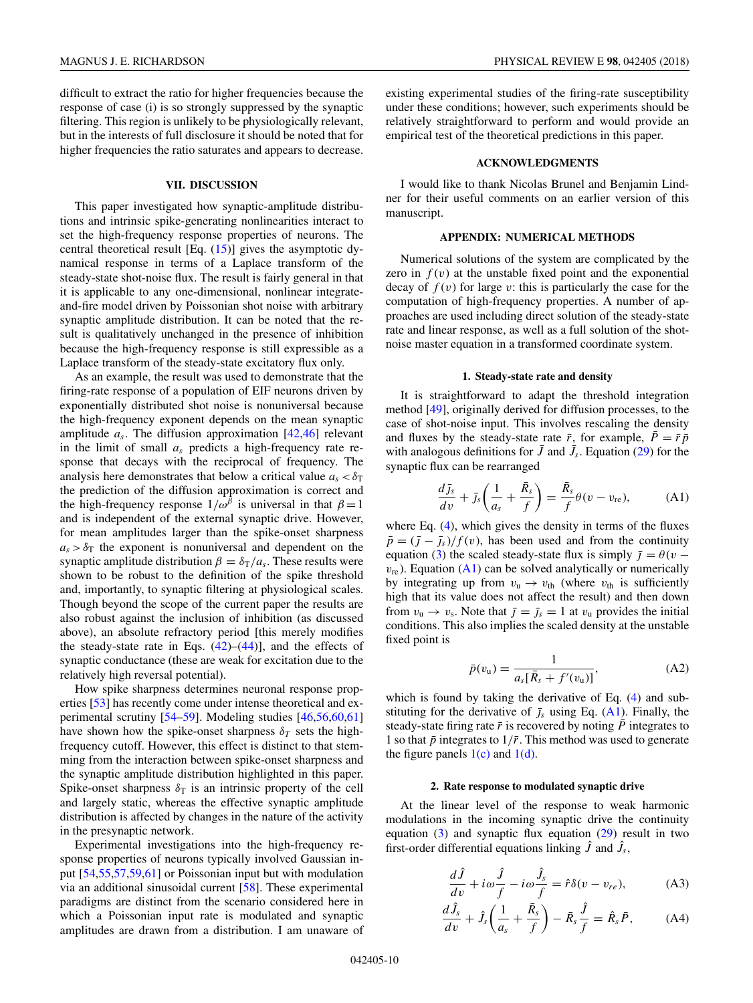<span id="page-9-0"></span>difficult to extract the ratio for higher frequencies because the response of case (i) is so strongly suppressed by the synaptic filtering. This region is unlikely to be physiologically relevant, but in the interests of full disclosure it should be noted that for higher frequencies the ratio saturates and appears to decrease.

#### **VII. DISCUSSION**

This paper investigated how synaptic-amplitude distributions and intrinsic spike-generating nonlinearities interact to set the high-frequency response properties of neurons. The central theoretical result [Eq.  $(15)$ ] gives the asymptotic dynamical response in terms of a Laplace transform of the steady-state shot-noise flux. The result is fairly general in that it is applicable to any one-dimensional, nonlinear integrateand-fire model driven by Poissonian shot noise with arbitrary synaptic amplitude distribution. It can be noted that the result is qualitatively unchanged in the presence of inhibition because the high-frequency response is still expressible as a Laplace transform of the steady-state excitatory flux only.

As an example, the result was used to demonstrate that the firing-rate response of a population of EIF neurons driven by exponentially distributed shot noise is nonuniversal because the high-frequency exponent depends on the mean synaptic amplitude *as*. The diffusion approximation [\[42,46\]](#page-11-0) relevant in the limit of small *as* predicts a high-frequency rate response that decays with the reciprocal of frequency. The analysis here demonstrates that below a critical value  $a_s < \delta_T$ the prediction of the diffusion approximation is correct and the high-frequency response  $1/\omega^{\beta}$  is universal in that  $\beta = 1$ and is independent of the external synaptic drive. However, for mean amplitudes larger than the spike-onset sharpness  $a_s > \delta_T$  the exponent is nonuniversal and dependent on the synaptic amplitude distribution  $\beta = \delta_T/a_s$ . These results were shown to be robust to the definition of the spike threshold and, importantly, to synaptic filtering at physiological scales. Though beyond the scope of the current paper the results are also robust against the inclusion of inhibition (as discussed above), an absolute refractory period [this merely modifies the steady-state rate in Eqs.  $(42)$ – $(44)$ ], and the effects of synaptic conductance (these are weak for excitation due to the relatively high reversal potential).

How spike sharpness determines neuronal response properties [\[53\]](#page-11-0) has recently come under intense theoretical and experimental scrutiny [\[54–59\]](#page-12-0). Modeling studies [\[46](#page-11-0)[,56,60,61\]](#page-12-0) have shown how the spike-onset sharpness  $\delta_T$  sets the highfrequency cutoff. However, this effect is distinct to that stemming from the interaction between spike-onset sharpness and the synaptic amplitude distribution highlighted in this paper. Spike-onset sharpness  $\delta_T$  is an intrinsic property of the cell and largely static, whereas the effective synaptic amplitude distribution is affected by changes in the nature of the activity in the presynaptic network.

Experimental investigations into the high-frequency response properties of neurons typically involved Gaussian input [\[54,55,57,59,61\]](#page-12-0) or Poissonian input but with modulation via an additional sinusoidal current [\[58\]](#page-12-0). These experimental paradigms are distinct from the scenario considered here in which a Poissonian input rate is modulated and synaptic amplitudes are drawn from a distribution. I am unaware of existing experimental studies of the firing-rate susceptibility under these conditions; however, such experiments should be relatively straightforward to perform and would provide an empirical test of the theoretical predictions in this paper.

### **ACKNOWLEDGMENTS**

I would like to thank Nicolas Brunel and Benjamin Lindner for their useful comments on an earlier version of this manuscript.

# **APPENDIX: NUMERICAL METHODS**

Numerical solutions of the system are complicated by the zero in  $f(v)$  at the unstable fixed point and the exponential decay of  $f(v)$  for large  $v$ : this is particularly the case for the computation of high-frequency properties. A number of approaches are used including direct solution of the steady-state rate and linear response, as well as a full solution of the shotnoise master equation in a transformed coordinate system.

### **1. Steady-state rate and density**

It is straightforward to adapt the threshold integration method [\[49\]](#page-11-0), originally derived for diffusion processes, to the case of shot-noise input. This involves rescaling the density and fluxes by the steady-state rate  $\bar{r}$ , for example,  $\bar{P} = \bar{r} \bar{p}$ with analogous definitions for  $\bar{J}$  and  $\bar{J}_s$ . Equation [\(29\)](#page-4-0) for the synaptic flux can be rearranged

$$
\frac{d\bar{J}_s}{dv} + \bar{J}_s \left( \frac{1}{a_s} + \frac{\bar{R}_s}{f} \right) = \frac{\bar{R}_s}{f} \theta(v - v_{\text{re}}),\tag{A1}
$$

where Eq. [\(4\)](#page-1-0), which gives the density in terms of the fluxes  $\bar{p} = (\bar{j} - \bar{j}_s)/f(v)$ , has been used and from the continuity equation [\(3\)](#page-1-0) the scaled steady-state flux is simply  $\bar{j} = \theta(v$  $v_{\rm re}$ ). Equation (A1) can be solved analytically or numerically by integrating up from  $v_u \rightarrow v_{th}$  (where  $v_{th}$  is sufficiently high that its value does not affect the result) and then down from  $v_u \rightarrow v_s$ . Note that  $\bar{j} = \bar{j}_s = 1$  at  $v_u$  provides the initial conditions. This also implies the scaled density at the unstable fixed point is

$$
\bar{p}(v_{\rm u}) = \frac{1}{a_s[\bar{R}_s + f'(v_{\rm u})]},\tag{A2}
$$

which is found by taking the derivative of Eq. [\(4\)](#page-1-0) and substituting for the derivative of  $\bar{J}_s$  using Eq. (A1). Finally, the steady-state firing rate  $\bar{r}$  is recovered by noting  $\bar{P}$  integrates to 1 so that  $\bar{p}$  integrates to  $1/\bar{r}$ . This method was used to generate the figure panels  $1(c)$  and  $1(d)$ .

#### **2. Rate response to modulated synaptic drive**

At the linear level of the response to weak harmonic modulations in the incoming synaptic drive the continuity equation  $(3)$  and synaptic flux equation  $(29)$  result in two first-order differential equations linking  $\hat{J}$  and  $\hat{J}_s$ ,

$$
\frac{d\hat{J}}{dv} + i\omega \frac{\hat{J}}{f} - i\omega \frac{\hat{J}_s}{f} = \hat{r}\delta(v - v_{re}),
$$
 (A3)

$$
\frac{d\hat{J}_s}{dv} + \hat{J}_s \left( \frac{1}{a_s} + \frac{\bar{R}_s}{f} \right) - \bar{R}_s \frac{\hat{J}}{f} = \hat{R}_s \bar{P}, \tag{A4}
$$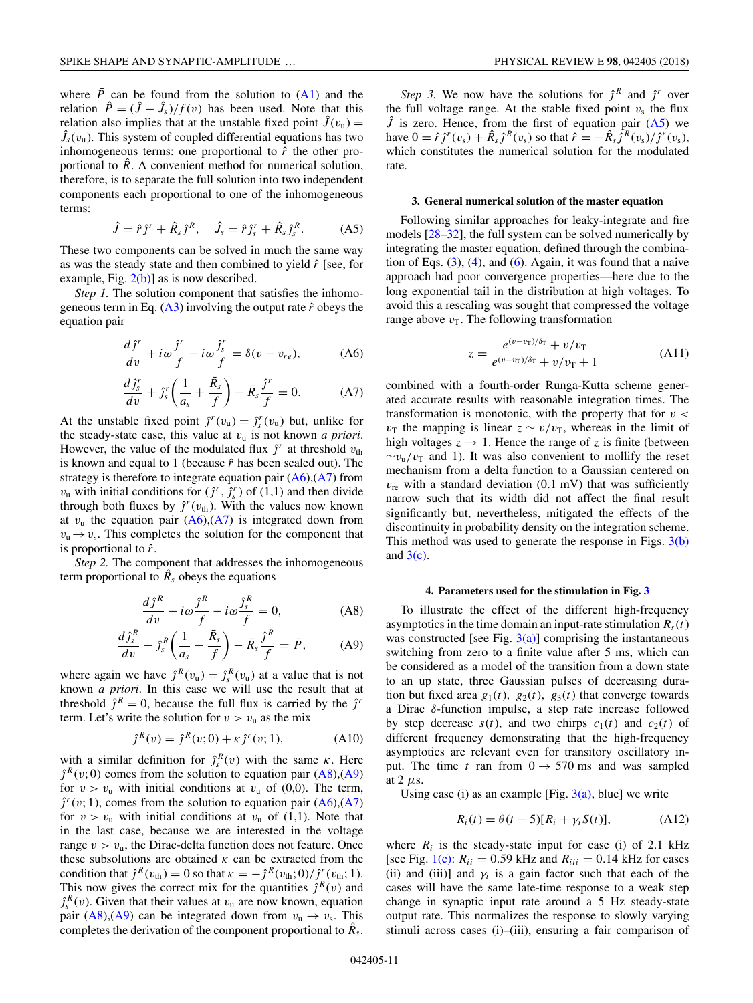where  $\bar{P}$  can be found from the solution to [\(A1\)](#page-9-0) and the relation  $\hat{P} = (\hat{J} - \hat{J}_s)/f(v)$  has been used. Note that this relation also implies that at the unstable fixed point  $\hat{J}(v_{\rm u}) =$  $\hat{J}_s(v_u)$ . This system of coupled differential equations has two inhomogeneous terms: one proportional to  $\hat{r}$  the other proportional to  $\hat{R}$ . A convenient method for numerical solution, therefore, is to separate the full solution into two independent components each proportional to one of the inhomogeneous terms:

$$
\hat{J} = \hat{r}j^r + \hat{R}_s j^R, \quad \hat{J}_s = \hat{r}j_s^r + \hat{R}_s j_s^R. \tag{A5}
$$

These two components can be solved in much the same way as was the steady state and then combined to yield *r*ˆ [see, for example, Fig.  $2(b)$ ] as is now described.

*Step 1*. The solution component that satisfies the inhomogeneous term in Eq.  $(A3)$  involving the output rate  $\hat{r}$  obeys the equation pair

$$
\frac{d\hat{\jmath}^r}{dv} + i\omega \frac{\hat{\jmath}^r}{f} - i\omega \frac{\hat{\jmath}^r}{f} = \delta(v - v_{re}),\tag{A6}
$$

$$
\frac{d\hat{J}_s^r}{dv} + \hat{J}_s^r \left(\frac{1}{a_s} + \frac{\bar{R}_s}{f}\right) - \bar{R}_s \frac{\hat{J}^r}{f} = 0.
$$
 (A7)

At the unstable fixed point  $\hat{j}^r(v_u) = \hat{j}_s^r(v_u)$  but, unlike for the steady-state case, this value at *v*<sup>u</sup> is not known *a priori*. However, the value of the modulated flux  $j<sup>r</sup>$  at threshold  $v<sub>th</sub>$ is known and equal to 1 (because  $\hat{r}$  has been scaled out). The strategy is therefore to integrate equation pair  $(A6)$ ,  $(A7)$  from  $v_u$  with initial conditions for  $(j^r, j^r)$  of  $(1,1)$  and then divide through both fluxes by  $j^r(v_{\text{th}})$ . With the values now known at  $v_u$  the equation pair  $(A6),(A7)$  is integrated down from  $v_u \rightarrow v_s$ . This completes the solution for the component that is proportional to *r*ˆ.

*Step 2.* The component that addresses the inhomogeneous term proportional to  $\hat{R}_s$  obeys the equations

$$
\frac{d\hat{\jmath}^{R}}{dv} + i\omega \frac{\hat{\jmath}^{R}}{f} - i\omega \frac{\hat{\jmath}^{R}}{f} = 0,
$$
 (A8)

$$
\frac{d\hat{J}_s^R}{dv} + \hat{J}_s^R \left( \frac{1}{a_s} + \frac{\bar{R}_s}{f} \right) - \bar{R}_s \frac{\hat{J}^R}{f} = \bar{P},\tag{A9}
$$

where again we have  $\hat{j}^R(v_u) = \hat{j}_s^R(v_u)$  at a value that is not known *a priori*. In this case we will use the result that at threshold  $\hat{j}^R = 0$ , because the full flux is carried by the  $\hat{j}^r$ term. Let's write the solution for  $v > v_u$  as the mix

$$
\hat{j}^{R}(v) = \hat{j}^{R}(v; 0) + \kappa \hat{j}^{r}(v; 1), \tag{A10}
$$

with a similar definition for  $\hat{J}_s^R(v)$  with the same  $\kappa$ . Here  $\hat{J}^R(v;0)$  comes from the solution to equation pair (A8),(A9) for  $v > v_u$  with initial conditions at  $v_u$  of (0,0). The term,  $\hat{J}^r(v; 1)$ , comes from the solution to equation pair  $(A6)$ ,  $(A7)$ for  $v > v_u$  with initial conditions at  $v_u$  of (1,1). Note that in the last case, because we are interested in the voltage range  $v > v_u$ , the Dirac-delta function does not feature. Once these subsolutions are obtained  $\kappa$  can be extracted from the condition that  $\hat{j}^R(v_{\text{th}}) = 0$  so that  $\kappa = -\hat{j}^R(v_{\text{th}}; 0) / \hat{j}^r(v_{\text{th}}; 1)$ . This now gives the correct mix for the quantities  $\hat{\jmath}^R(v)$  and  $\hat{J}_s^R(v)$ . Given that their values at  $v_u$  are now known, equation pair (A8),(A9) can be integrated down from  $v_u \rightarrow v_s$ . This completes the derivation of the component proportional to  $\hat{R}_s$ .

*Step 3.* We now have the solutions for  $\hat{j}^R$  and  $\hat{j}^r$  over the full voltage range. At the stable fixed point  $v_s$  the flux  $\hat{J}$  is zero. Hence, from the first of equation pair  $(A5)$  we have  $0 = \hat{r} j^r(v_s) + \hat{R}_s j^R(v_s)$  so that  $\hat{r} = -\hat{R}_s j^R(v_s) / j^r(v_s)$ , which constitutes the numerical solution for the modulated rate.

### **3. General numerical solution of the master equation**

Following similar approaches for leaky-integrate and fire models [\[28–32\]](#page-11-0), the full system can be solved numerically by integrating the master equation, defined through the combination of Eqs.  $(3)$ ,  $(4)$ , and  $(6)$ . Again, it was found that a naive approach had poor convergence properties—here due to the long exponential tail in the distribution at high voltages. To avoid this a rescaling was sought that compressed the voltage range above  $v<sub>T</sub>$ . The following transformation

$$
z = \frac{e^{(\upsilon - \upsilon_{\rm T})/\delta_{\rm T}} + \upsilon/\upsilon_{\rm T}}{e^{(\upsilon - \upsilon_{\rm T})/\delta_{\rm T}} + \upsilon/\upsilon_{\rm T} + 1}
$$
(A11)

combined with a fourth-order Runga-Kutta scheme generated accurate results with reasonable integration times. The transformation is monotonic, with the property that for *v <*  $v_T$  the mapping is linear  $z \sim v/v_T$ , whereas in the limit of high voltages  $z \rightarrow 1$ . Hence the range of *z* is finite (between  $\sim v_{\rm u}/v_{\rm T}$  and 1). It was also convenient to mollify the reset mechanism from a delta function to a Gaussian centered on  $v_{\text{re}}$  with a standard deviation (0.1 mV) that was sufficiently narrow such that its width did not affect the final result significantly but, nevertheless, mitigated the effects of the discontinuity in probability density on the integration scheme. This method was used to generate the response in Figs.  $3(b)$ and  $3(c)$ .

### **4. Parameters used for the stimulation in Fig. [3](#page-6-0)**

To illustrate the effect of the different high-frequency asymptotics in the time domain an input-rate stimulation  $R<sub>s</sub>(t)$ was constructed [see Fig.  $3(a)$ ] comprising the instantaneous switching from zero to a finite value after 5 ms, which can be considered as a model of the transition from a down state to an up state, three Gaussian pulses of decreasing duration but fixed area  $g_1(t)$ ,  $g_2(t)$ ,  $g_3(t)$  that converge towards a Dirac *δ*-function impulse, a step rate increase followed by step decrease  $s(t)$ , and two chirps  $c_1(t)$  and  $c_2(t)$  of different frequency demonstrating that the high-frequency asymptotics are relevant even for transitory oscillatory input. The time *t* ran from  $0 \rightarrow 570$  ms and was sampled at 2 *μ*s.

Using case (i) as an example [Fig.  $3(a)$ , blue] we write

$$
R_i(t) = \theta(t-5)[R_i + \gamma_i S(t)], \qquad (A12)
$$

where  $R_i$  is the steady-state input for case (i) of 2.1 kHz [see Fig. [1\(c\):](#page-3-0)  $R_{ii} = 0.59$  kHz and  $R_{iii} = 0.14$  kHz for cases (ii) and (iii)] and  $\gamma_i$  is a gain factor such that each of the cases will have the same late-time response to a weak step change in synaptic input rate around a 5 Hz steady-state output rate. This normalizes the response to slowly varying stimuli across cases (i)–(iii), ensuring a fair comparison of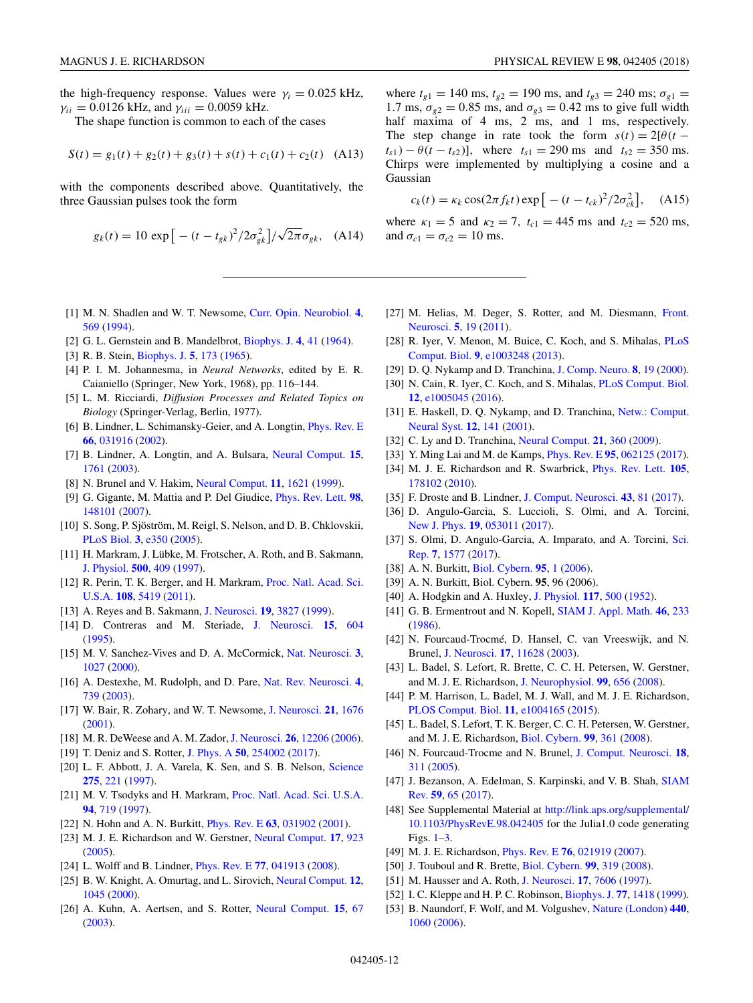<span id="page-11-0"></span>the high-frequency response. Values were  $\gamma_i = 0.025$  kHz,  $γ_{ii} = 0.0126$  kHz, and  $γ_{iii} = 0.0059$  kHz.

The shape function is common to each of the cases

$$
S(t) = g_1(t) + g_2(t) + g_3(t) + s(t) + c_1(t) + c_2(t)
$$
 (A13)

with the components described above. Quantitatively, the three Gaussian pulses took the form

$$
g_k(t) = 10 \exp\left[ -(t - t_{gk})^2 / 2\sigma_{gk}^2 \right] / \sqrt{2\pi} \sigma_{gk}, \quad (A14)
$$

- [1] M. N. Shadlen and W. T. Newsome, [Curr. Opin. Neurobiol.](https://doi.org/10.1016/0959-4388(94)90059-0) **[4](https://doi.org/10.1016/0959-4388(94)90059-0)**, [569](https://doi.org/10.1016/0959-4388(94)90059-0) [\(1994\)](https://doi.org/10.1016/0959-4388(94)90059-0).
- [2] G. L. Gernstein and B. Mandelbrot, [Biophys. J.](https://doi.org/10.1016/S0006-3495(64)86768-0) **[4](https://doi.org/10.1016/S0006-3495(64)86768-0)**, [41](https://doi.org/10.1016/S0006-3495(64)86768-0) [\(1964\)](https://doi.org/10.1016/S0006-3495(64)86768-0).
- [3] R. B. Stein, [Biophys. J.](https://doi.org/10.1016/S0006-3495(65)86709-1) **[5](https://doi.org/10.1016/S0006-3495(65)86709-1)**, [173](https://doi.org/10.1016/S0006-3495(65)86709-1) [\(1965\)](https://doi.org/10.1016/S0006-3495(65)86709-1).
- [4] P. I. M. Johannesma, in *Neural Networks*, edited by E. R. Caianiello (Springer, New York, 1968), pp. 116–144.
- [5] L. M. Ricciardi, *Diffusion Processes and Related Topics on Biology* (Springer-Verlag, Berlin, 1977).
- [6] B. Lindner, L. Schimansky-Geier, and A. Longtin, [Phys. Rev. E](https://doi.org/10.1103/PhysRevE.66.031916) **[66](https://doi.org/10.1103/PhysRevE.66.031916)**, [031916](https://doi.org/10.1103/PhysRevE.66.031916) [\(2002\)](https://doi.org/10.1103/PhysRevE.66.031916).
- [7] B. Lindner, A. Longtin, and A. Bulsara, [Neural Comput.](https://doi.org/10.1162/08997660360675035) **[15](https://doi.org/10.1162/08997660360675035)**, [1761](https://doi.org/10.1162/08997660360675035) [\(2003\)](https://doi.org/10.1162/08997660360675035).
- [8] N. Brunel and V. Hakim, [Neural Comput.](https://doi.org/10.1162/089976699300016179) **[11](https://doi.org/10.1162/089976699300016179)**, [1621](https://doi.org/10.1162/089976699300016179) [\(1999\)](https://doi.org/10.1162/089976699300016179).
- [9] G. Gigante, M. Mattia and P. Del Giudice, [Phys. Rev. Lett.](https://doi.org/10.1103/PhysRevLett.98.148101) **[98](https://doi.org/10.1103/PhysRevLett.98.148101)**, [148101](https://doi.org/10.1103/PhysRevLett.98.148101) [\(2007\)](https://doi.org/10.1103/PhysRevLett.98.148101).
- [10] S. Song, P. Sjöström, M. Reigl, S. Nelson, and D. B. Chklovskii, [PLoS Biol.](https://doi.org/10.1371/journal.pbio.0030350) **[3](https://doi.org/10.1371/journal.pbio.0030350)**, [e350](https://doi.org/10.1371/journal.pbio.0030350) [\(2005\)](https://doi.org/10.1371/journal.pbio.0030350).
- [11] H. Markram, J. Lübke, M. Frotscher, A. Roth, and B. Sakmann, [J. Physiol.](https://doi.org/10.1113/jphysiol.1997.sp022031) **[500](https://doi.org/10.1113/jphysiol.1997.sp022031)**, [409](https://doi.org/10.1113/jphysiol.1997.sp022031) [\(1997\)](https://doi.org/10.1113/jphysiol.1997.sp022031).
- [12] [R. Perin, T. K. Berger, and H. Markram,](https://doi.org/10.1073/pnas.1016051108) Proc. Natl. Acad. Sci. U.S.A. **[108](https://doi.org/10.1073/pnas.1016051108)**, [5419](https://doi.org/10.1073/pnas.1016051108) [\(2011\)](https://doi.org/10.1073/pnas.1016051108).
- [13] A. Reyes and B. Sakmann, [J. Neurosci.](https://doi.org/10.1523/JNEUROSCI.19-10-03827.1999) **[19](https://doi.org/10.1523/JNEUROSCI.19-10-03827.1999)**, [3827](https://doi.org/10.1523/JNEUROSCI.19-10-03827.1999) [\(1999\)](https://doi.org/10.1523/JNEUROSCI.19-10-03827.1999).
- [14] D. Contreras and M. Steriade, [J. Neurosci.](https://doi.org/10.1523/JNEUROSCI.15-01-00604.1995) **[15](https://doi.org/10.1523/JNEUROSCI.15-01-00604.1995)**, [604](https://doi.org/10.1523/JNEUROSCI.15-01-00604.1995) [\(1995\)](https://doi.org/10.1523/JNEUROSCI.15-01-00604.1995).
- [15] M. V. Sanchez-Vives and D. A. McCormick, [Nat. Neurosci.](https://doi.org/10.1038/79848) **[3](https://doi.org/10.1038/79848)**, [1027](https://doi.org/10.1038/79848) [\(2000\)](https://doi.org/10.1038/79848).
- [16] A. Destexhe, M. Rudolph, and D. Pare, [Nat. Rev. Neurosci.](https://doi.org/10.1038/nrn1198) **[4](https://doi.org/10.1038/nrn1198)**, [739](https://doi.org/10.1038/nrn1198) [\(2003\)](https://doi.org/10.1038/nrn1198).
- [17] W. Bair, R. Zohary, and W. T. Newsome, [J. Neurosci.](https://doi.org/10.1523/JNEUROSCI.21-05-01676.2001) **[21](https://doi.org/10.1523/JNEUROSCI.21-05-01676.2001)**, [1676](https://doi.org/10.1523/JNEUROSCI.21-05-01676.2001) [\(2001\)](https://doi.org/10.1523/JNEUROSCI.21-05-01676.2001).
- [18] M. R. DeWeese and A. M. Zador,[J. Neurosci.](https://doi.org/10.1523/JNEUROSCI.2813-06.2006) **[26](https://doi.org/10.1523/JNEUROSCI.2813-06.2006)**, [12206](https://doi.org/10.1523/JNEUROSCI.2813-06.2006) [\(2006\)](https://doi.org/10.1523/JNEUROSCI.2813-06.2006).
- [19] T. Deniz and S. Rotter, [J. Phys. A](https://doi.org/10.1088/1751-8121/aa677e) **[50](https://doi.org/10.1088/1751-8121/aa677e)**, [254002](https://doi.org/10.1088/1751-8121/aa677e) [\(2017\)](https://doi.org/10.1088/1751-8121/aa677e).
- [20] L. F. Abbott, J. A. Varela, K. Sen, and S. B. Nelson, [Science](https://doi.org/10.1126/science.275.5297.221) **[275](https://doi.org/10.1126/science.275.5297.221)**, [221](https://doi.org/10.1126/science.275.5297.221) [\(1997\)](https://doi.org/10.1126/science.275.5297.221).
- [21] M. V. Tsodyks and H. Markram, [Proc. Natl. Acad. Sci. U.S.A.](https://doi.org/10.1073/pnas.94.2.719) **[94](https://doi.org/10.1073/pnas.94.2.719)**, [719](https://doi.org/10.1073/pnas.94.2.719) [\(1997\)](https://doi.org/10.1073/pnas.94.2.719).
- [22] N. Hohn and A. N. Burkitt, [Phys. Rev. E](https://doi.org/10.1103/PhysRevE.63.031902) **[63](https://doi.org/10.1103/PhysRevE.63.031902)**, [031902](https://doi.org/10.1103/PhysRevE.63.031902) [\(2001\)](https://doi.org/10.1103/PhysRevE.63.031902).
- [23] M. J. E. Richardson and W. Gerstner, [Neural Comput.](https://doi.org/10.1162/0899766053429444) **[17](https://doi.org/10.1162/0899766053429444)**, [923](https://doi.org/10.1162/0899766053429444) [\(2005\)](https://doi.org/10.1162/0899766053429444).
- [24] L. Wolff and B. Lindner, [Phys. Rev. E](https://doi.org/10.1103/PhysRevE.77.041913) **[77](https://doi.org/10.1103/PhysRevE.77.041913)**, [041913](https://doi.org/10.1103/PhysRevE.77.041913) [\(2008\)](https://doi.org/10.1103/PhysRevE.77.041913).
- [25] B. W. Knight, A. Omurtag, and L. Sirovich, [Neural Comput.](https://doi.org/10.1162/089976600300015493) **[12](https://doi.org/10.1162/089976600300015493)**, [1045](https://doi.org/10.1162/089976600300015493) [\(2000\)](https://doi.org/10.1162/089976600300015493).
- [26] A. Kuhn, A. Aertsen, and S. Rotter, [Neural Comput.](https://doi.org/10.1162/089976603321043702) **[15](https://doi.org/10.1162/089976603321043702)**, [67](https://doi.org/10.1162/089976603321043702) [\(2003\)](https://doi.org/10.1162/089976603321043702).

where  $t_{g1} = 140$  ms,  $t_{g2} = 190$  ms, and  $t_{g3} = 240$  ms;  $\sigma_{g1} =$ 1.7 ms,  $\sigma_{g2} = 0.85$  ms, and  $\sigma_{g3} = 0.42$  ms to give full width half maxima of 4 ms, 2 ms, and 1 ms, respectively. The step change in rate took the form  $s(t) = 2[\theta(t$  $t_{s1}$  ) –  $\theta$  (*t* – *t<sub>s</sub>*2)], where  $t_{s1}$  = 290 ms and  $t_{s2}$  = 350 ms. Chirps were implemented by multiplying a cosine and a Gaussian

$$
c_k(t) = \kappa_k \cos(2\pi f_k t) \exp\left[ -(t - t_{ck})^2 / 2\sigma_{ck}^2 \right], \quad (A15)
$$

where  $\kappa_1 = 5$  and  $\kappa_2 = 7$ ,  $t_{c1} = 445$  ms and  $t_{c2} = 520$  ms, and  $\sigma_{c1} = \sigma_{c2} = 10$  ms.

- [27] [M. Helias, M. Deger, S. Rotter, and M. Diesmann,](https://doi.org/10.3389/fnins.2011.00019) Front. Neurosci. **[5](https://doi.org/10.3389/fnins.2011.00019)**, [19](https://doi.org/10.3389/fnins.2011.00019) [\(2011\)](https://doi.org/10.3389/fnins.2011.00019).
- [28] [R. Iyer, V. Menon, M. Buice, C. Koch, and S. Mihalas,](https://doi.org/10.1371/journal.pcbi.1003248) PLoS Comput. Biol. **[9](https://doi.org/10.1371/journal.pcbi.1003248)**, [e1003248](https://doi.org/10.1371/journal.pcbi.1003248) [\(2013\)](https://doi.org/10.1371/journal.pcbi.1003248).
- [29] D. Q. Nykamp and D. Tranchina, [J. Comp. Neuro.](https://doi.org/10.1023/A:1008912914816) **[8](https://doi.org/10.1023/A:1008912914816)**, [19](https://doi.org/10.1023/A:1008912914816) [\(2000\)](https://doi.org/10.1023/A:1008912914816).
- [30] N. Cain, R. Iyer, C. Koch, and S. Mihalas, [PLoS Comput. Biol.](https://doi.org/10.1371/journal.pcbi.1005045) **[12](https://doi.org/10.1371/journal.pcbi.1005045)**, [e1005045](https://doi.org/10.1371/journal.pcbi.1005045) [\(2016\)](https://doi.org/10.1371/journal.pcbi.1005045).
- [31] [E. Haskell, D. Q. Nykamp, and D. Tranchina,](https://doi.org/10.1080/net.12.2.141.174) Netw.: Comput. Neural Syst. **[12](https://doi.org/10.1080/net.12.2.141.174)**, [141](https://doi.org/10.1080/net.12.2.141.174) [\(2001\)](https://doi.org/10.1080/net.12.2.141.174).
- [32] C. Ly and D. Tranchina, [Neural Comput.](https://doi.org/10.1162/neco.2008.03-08-743) **[21](https://doi.org/10.1162/neco.2008.03-08-743)**, [360](https://doi.org/10.1162/neco.2008.03-08-743) [\(2009\)](https://doi.org/10.1162/neco.2008.03-08-743).
- [33] Y. Ming Lai and M. de Kamps, [Phys. Rev. E](https://doi.org/10.1103/PhysRevE.95.062125) **[95](https://doi.org/10.1103/PhysRevE.95.062125)**, [062125](https://doi.org/10.1103/PhysRevE.95.062125) [\(2017\)](https://doi.org/10.1103/PhysRevE.95.062125).
- [34] M. J. E. Richardson and R. Swarbrick, [Phys. Rev. Lett.](https://doi.org/10.1103/PhysRevLett.105.178102) **[105](https://doi.org/10.1103/PhysRevLett.105.178102)**, [178102](https://doi.org/10.1103/PhysRevLett.105.178102) [\(2010\)](https://doi.org/10.1103/PhysRevLett.105.178102).
- [35] F. Droste and B. Lindner, [J. Comput. Neurosci.](https://doi.org/10.1007/s10827-017-0649-5) **[43](https://doi.org/10.1007/s10827-017-0649-5)**, [81](https://doi.org/10.1007/s10827-017-0649-5) [\(2017\)](https://doi.org/10.1007/s10827-017-0649-5).
- [36] D. Angulo-Garcia, S. Luccioli, S. Olmi, and A. Torcini, [New J. Phys.](https://doi.org/10.1088/1367-2630/aa69ff) **[19](https://doi.org/10.1088/1367-2630/aa69ff)**, [053011](https://doi.org/10.1088/1367-2630/aa69ff) [\(2017\)](https://doi.org/10.1088/1367-2630/aa69ff).
- [37] [S. Olmi, D. Angulo-Garcia, A. Imparato, and A. Torcini,](https://doi.org/10.1038/s41598-017-01658-8) Sci. Rep. **[7](https://doi.org/10.1038/s41598-017-01658-8)**, [1577](https://doi.org/10.1038/s41598-017-01658-8) [\(2017\)](https://doi.org/10.1038/s41598-017-01658-8).
- [38] A. N. Burkitt, [Biol. Cybern.](https://doi.org/10.1007/s00422-006-0068-6) **[95](https://doi.org/10.1007/s00422-006-0068-6)**, [1](https://doi.org/10.1007/s00422-006-0068-6) [\(2006\)](https://doi.org/10.1007/s00422-006-0068-6).
- [39] A. N. Burkitt, Biol. Cybern. **95**, 96 (2006).
- [40] A. Hodgkin and A. Huxley, [J. Physiol.](https://doi.org/10.1113/jphysiol.1952.sp004764) **[117](https://doi.org/10.1113/jphysiol.1952.sp004764)**, [500](https://doi.org/10.1113/jphysiol.1952.sp004764) [\(1952\)](https://doi.org/10.1113/jphysiol.1952.sp004764).
- [41] G. B. Ermentrout and N. Kopell, [SIAM J. Appl. Math.](https://doi.org/10.1137/0146017) **[46](https://doi.org/10.1137/0146017)**, [233](https://doi.org/10.1137/0146017) [\(1986\)](https://doi.org/10.1137/0146017).
- [42] N. Fourcaud-Trocmé, D. Hansel, C. van Vreeswijk, and N. Brunel, [J. Neurosci.](https://doi.org/10.1523/JNEUROSCI.23-37-11628.2003) **[17](https://doi.org/10.1523/JNEUROSCI.23-37-11628.2003)**, [11628](https://doi.org/10.1523/JNEUROSCI.23-37-11628.2003) [\(2003\)](https://doi.org/10.1523/JNEUROSCI.23-37-11628.2003).
- [43] L. Badel, S. Lefort, R. Brette, C. C. H. Petersen, W. Gerstner, and M. J. E. Richardson, [J. Neurophysiol.](https://doi.org/10.1152/jn.01107.2007) **[99](https://doi.org/10.1152/jn.01107.2007)**, [656](https://doi.org/10.1152/jn.01107.2007) [\(2008\)](https://doi.org/10.1152/jn.01107.2007).
- [44] P. M. Harrison, L. Badel, M. J. Wall, and M. J. E. Richardson, [PLOS Comput. Biol.](https://doi.org/10.1371/journal.pcbi.1004165) **[11](https://doi.org/10.1371/journal.pcbi.1004165)**, [e1004165](https://doi.org/10.1371/journal.pcbi.1004165) [\(2015\)](https://doi.org/10.1371/journal.pcbi.1004165).
- [45] L. Badel, S. Lefort, T. K. Berger, C. C. H. Petersen, W. Gerstner, and M. J. E. Richardson, [Biol. Cybern.](https://doi.org/10.1007/s00422-008-0259-4) **[99](https://doi.org/10.1007/s00422-008-0259-4)**, [361](https://doi.org/10.1007/s00422-008-0259-4) [\(2008\)](https://doi.org/10.1007/s00422-008-0259-4).
- [46] N. Fourcaud-Trocme and N. Brunel, [J. Comput. Neurosci.](https://doi.org/10.1007/s10827-005-0337-8) **[18](https://doi.org/10.1007/s10827-005-0337-8)**, [311](https://doi.org/10.1007/s10827-005-0337-8) [\(2005\)](https://doi.org/10.1007/s10827-005-0337-8).
- [47] [J. Bezanson, A. Edelman, S. Karpinski, and V. B. Shah,](https://doi.org/10.1137/141000671) SIAM Rev. **[59](https://doi.org/10.1137/141000671)**, [65](https://doi.org/10.1137/141000671) [\(2017\)](https://doi.org/10.1137/141000671).
- [48] See Supplemental Material at [http://link.aps.org/supplemental/](http://link.aps.org/supplemental/10.1103/PhysRevE.98.042405) 10.1103/PhysRevE.98.042405 for the Julia1.0 code generating Figs. [1](#page-3-0)[–3.](#page-6-0)
- [49] M. J. E. Richardson, [Phys. Rev. E](https://doi.org/10.1103/PhysRevE.76.021919) **[76](https://doi.org/10.1103/PhysRevE.76.021919)**, [021919](https://doi.org/10.1103/PhysRevE.76.021919) [\(2007\)](https://doi.org/10.1103/PhysRevE.76.021919).
- [50] J. Touboul and R. Brette, [Biol. Cybern.](https://doi.org/10.1007/s00422-008-0267-4) **[99](https://doi.org/10.1007/s00422-008-0267-4)**, [319](https://doi.org/10.1007/s00422-008-0267-4) [\(2008\)](https://doi.org/10.1007/s00422-008-0267-4).
- [51] M. Hausser and A. Roth, [J. Neurosci.](https://doi.org/10.1523/JNEUROSCI.17-20-07606.1997) **[17](https://doi.org/10.1523/JNEUROSCI.17-20-07606.1997)**, [7606](https://doi.org/10.1523/JNEUROSCI.17-20-07606.1997) [\(1997\)](https://doi.org/10.1523/JNEUROSCI.17-20-07606.1997).
- [52] I. C. Kleppe and H. P. C. Robinson, [Biophys. J.](https://doi.org/10.1016/S0006-3495(99)76990-0) **[77](https://doi.org/10.1016/S0006-3495(99)76990-0)**, [1418](https://doi.org/10.1016/S0006-3495(99)76990-0) [\(1999\)](https://doi.org/10.1016/S0006-3495(99)76990-0).
- [53] B. Naundorf, F. Wolf, and M. Volgushev, [Nature \(London\)](https://doi.org/10.1038/nature04610) **[440](https://doi.org/10.1038/nature04610)**, [1060](https://doi.org/10.1038/nature04610) [\(2006\)](https://doi.org/10.1038/nature04610).